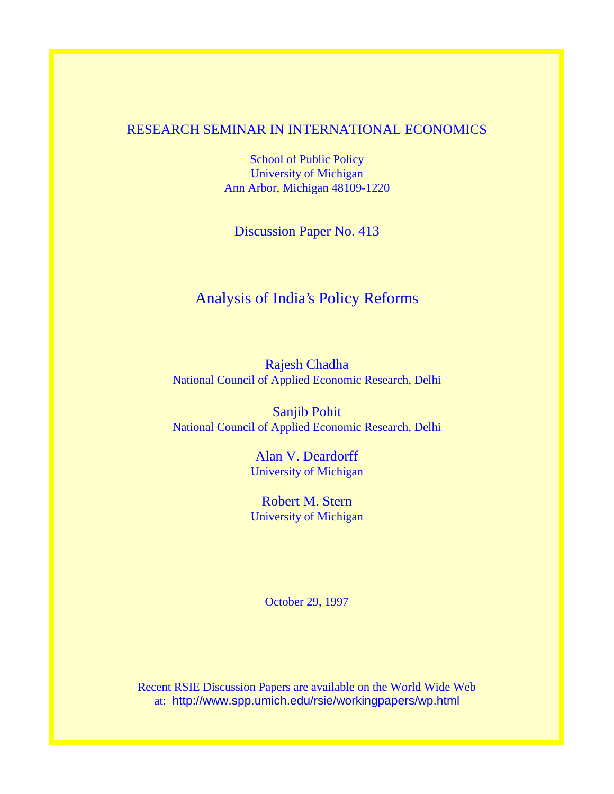# RESEARCH SEMINAR IN INTERNATIONAL ECONOMICS

School of Public Policy University of Michigan Ann Arbor, Michigan 48109-1220

Discussion Paper No. 413

# Analysis of India's Policy Reforms

Rajesh Chadha National Council of Applied Economic Research, Delhi

Sanjib Pohit National Council of Applied Economic Research, Delhi

> Alan V. Deardorff University of Michigan

Robert M. Stern University of Michigan

October 29, 1997

Recent RSIE Discussion Papers are available on the World Wide Web at: http://www.spp.umich.edu/rsie/workingpapers/wp.html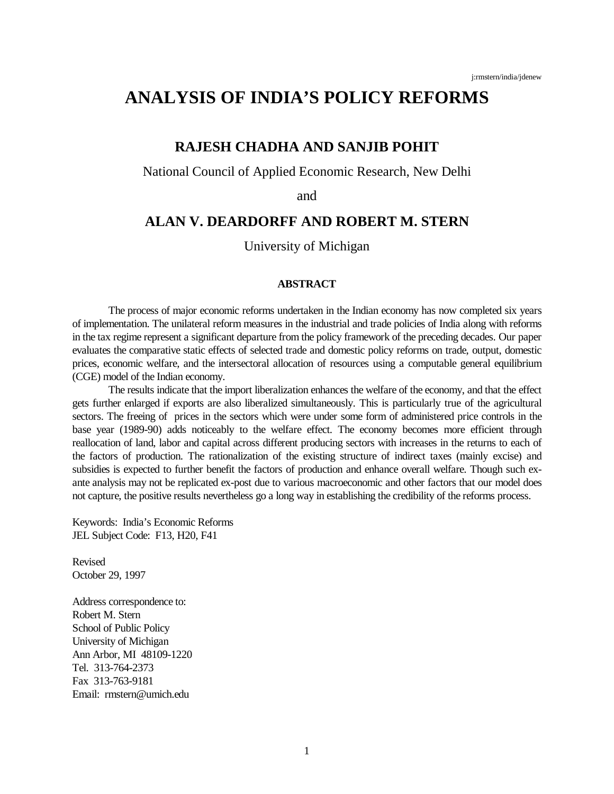# **ANALYSIS OF INDIA'S POLICY REFORMS**

# **RAJESH CHADHA AND SANJIB POHIT**

National Council of Applied Economic Research, New Delhi

and

# **ALAN V. DEARDORFF AND ROBERT M. STERN**

University of Michigan

#### **ABSTRACT**

The process of major economic reforms undertaken in the Indian economy has now completed six years of implementation. The unilateral reform measures in the industrial and trade policies of India along with reforms in the tax regime represent a significant departure from the policy framework of the preceding decades. Our paper evaluates the comparative static effects of selected trade and domestic policy reforms on trade, output, domestic prices, economic welfare, and the intersectoral allocation of resources using a computable general equilibrium (CGE) model of the Indian economy.

The results indicate that the import liberalization enhances the welfare of the economy, and that the effect gets further enlarged if exports are also liberalized simultaneously. This is particularly true of the agricultural sectors. The freeing of prices in the sectors which were under some form of administered price controls in the base year (1989-90) adds noticeably to the welfare effect. The economy becomes more efficient through reallocation of land, labor and capital across different producing sectors with increases in the returns to each of the factors of production. The rationalization of the existing structure of indirect taxes (mainly excise) and subsidies is expected to further benefit the factors of production and enhance overall welfare. Though such exante analysis may not be replicated ex-post due to various macroeconomic and other factors that our model does not capture, the positive results nevertheless go a long way in establishing the credibility of the reforms process.

Keywords: India's Economic Reforms JEL Subject Code: F13, H20, F41

Revised October 29, 1997

Address correspondence to: Robert M. Stern School of Public Policy University of Michigan Ann Arbor, MI 48109-1220 Tel. 313-764-2373 Fax 313-763-9181 Email: rmstern@umich.edu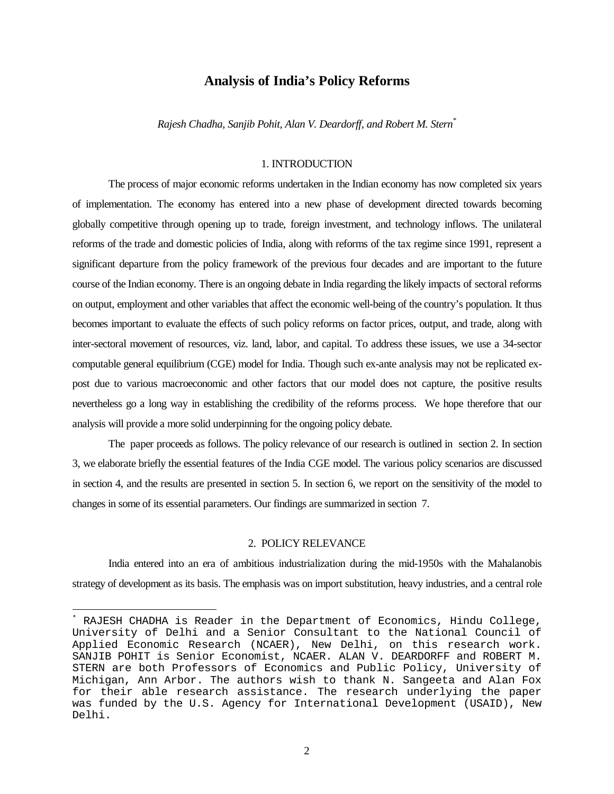## **Analysis of India's Policy Reforms**

*Rajesh Chadha, Sanjib Pohit, Alan V. Deardorff, and Robert M. Stern*\*

#### 1. INTRODUCTION

The process of major economic reforms undertaken in the Indian economy has now completed six years of implementation. The economy has entered into a new phase of development directed towards becoming globally competitive through opening up to trade, foreign investment, and technology inflows. The unilateral reforms of the trade and domestic policies of India, along with reforms of the tax regime since 1991, represent a significant departure from the policy framework of the previous four decades and are important to the future course of the Indian economy. There is an ongoing debate in India regarding the likely impacts of sectoral reforms on output, employment and other variables that affect the economic well-being of the country's population. It thus becomes important to evaluate the effects of such policy reforms on factor prices, output, and trade, along with inter-sectoral movement of resources, viz. land, labor, and capital. To address these issues, we use a 34-sector computable general equilibrium (CGE) model for India. Though such ex-ante analysis may not be replicated expost due to various macroeconomic and other factors that our model does not capture, the positive results nevertheless go a long way in establishing the credibility of the reforms process. We hope therefore that our analysis will provide a more solid underpinning for the ongoing policy debate.

The paper proceeds as follows. The policy relevance of our research is outlined in section 2. In section 3, we elaborate briefly the essential features of the India CGE model. The various policy scenarios are discussed in section 4, and the results are presented in section 5. In section 6, we report on the sensitivity of the model to changes in some of its essential parameters. Our findings are summarized in section 7.

#### 2. POLICY RELEVANCE

India entered into an era of ambitious industrialization during the mid-1950s with the Mahalanobis strategy of development as its basis. The emphasis was on import substitution, heavy industries, and a central role

<sup>\*</sup> RAJESH CHADHA is Reader in the Department of Economics, Hindu College, University of Delhi and a Senior Consultant to the National Council of Applied Economic Research (NCAER), New Delhi, on this research work. SANJIB POHIT is Senior Economist, NCAER. ALAN V. DEARDORFF and ROBERT M. STERN are both Professors of Economics and Public Policy, University of Michigan, Ann Arbor. The authors wish to thank N. Sangeeta and Alan Fox for their able research assistance. The research underlying the paper was funded by the U.S. Agency for International Development (USAID), New Delhi.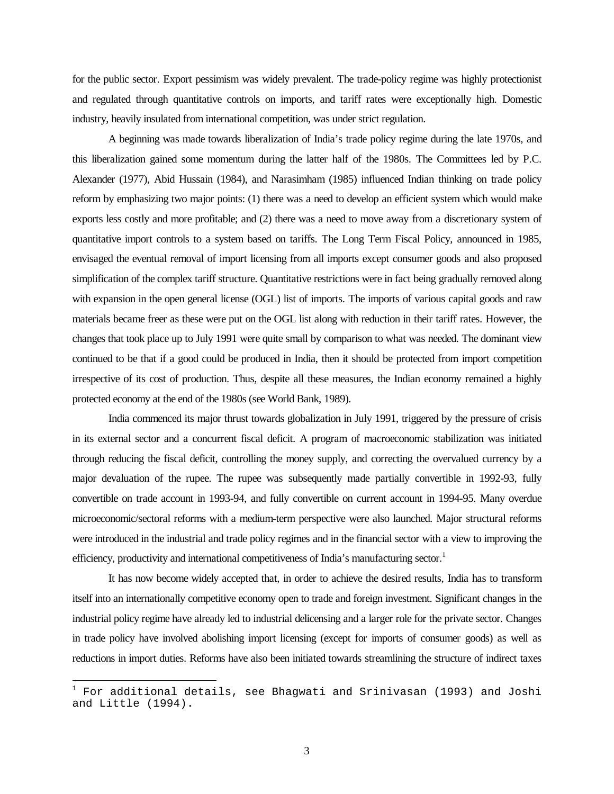for the public sector. Export pessimism was widely prevalent. The trade-policy regime was highly protectionist and regulated through quantitative controls on imports, and tariff rates were exceptionally high. Domestic industry, heavily insulated from international competition, was under strict regulation.

A beginning was made towards liberalization of India's trade policy regime during the late 1970s, and this liberalization gained some momentum during the latter half of the 1980s. The Committees led by P.C. Alexander (1977), Abid Hussain (1984), and Narasimham (1985) influenced Indian thinking on trade policy reform by emphasizing two major points: (1) there was a need to develop an efficient system which would make exports less costly and more profitable; and (2) there was a need to move away from a discretionary system of quantitative import controls to a system based on tariffs. The Long Term Fiscal Policy, announced in 1985, envisaged the eventual removal of import licensing from all imports except consumer goods and also proposed simplification of the complex tariff structure. Quantitative restrictions were in fact being gradually removed along with expansion in the open general license (OGL) list of imports. The imports of various capital goods and raw materials became freer as these were put on the OGL list along with reduction in their tariff rates. However, the changes that took place up to July 1991 were quite small by comparison to what was needed. The dominant view continued to be that if a good could be produced in India, then it should be protected from import competition irrespective of its cost of production. Thus, despite all these measures, the Indian economy remained a highly protected economy at the end of the 1980s (see World Bank, 1989).

India commenced its major thrust towards globalization in July 1991, triggered by the pressure of crisis in its external sector and a concurrent fiscal deficit. A program of macroeconomic stabilization was initiated through reducing the fiscal deficit, controlling the money supply, and correcting the overvalued currency by a major devaluation of the rupee. The rupee was subsequently made partially convertible in 1992-93, fully convertible on trade account in 1993-94, and fully convertible on current account in 1994-95. Many overdue microeconomic/sectoral reforms with a medium-term perspective were also launched. Major structural reforms were introduced in the industrial and trade policy regimes and in the financial sector with a view to improving the efficiency, productivity and international competitiveness of India's manufacturing sector.<sup>1</sup>

It has now become widely accepted that, in order to achieve the desired results, India has to transform itself into an internationally competitive economy open to trade and foreign investment. Significant changes in the industrial policy regime have already led to industrial delicensing and a larger role for the private sector. Changes in trade policy have involved abolishing import licensing (except for imports of consumer goods) as well as reductions in import duties. Reforms have also been initiated towards streamlining the structure of indirect taxes

 $^{\rm 1}$  For additional details, see Bhagwati and Srinivasan (1993) and Joshi and Little (1994).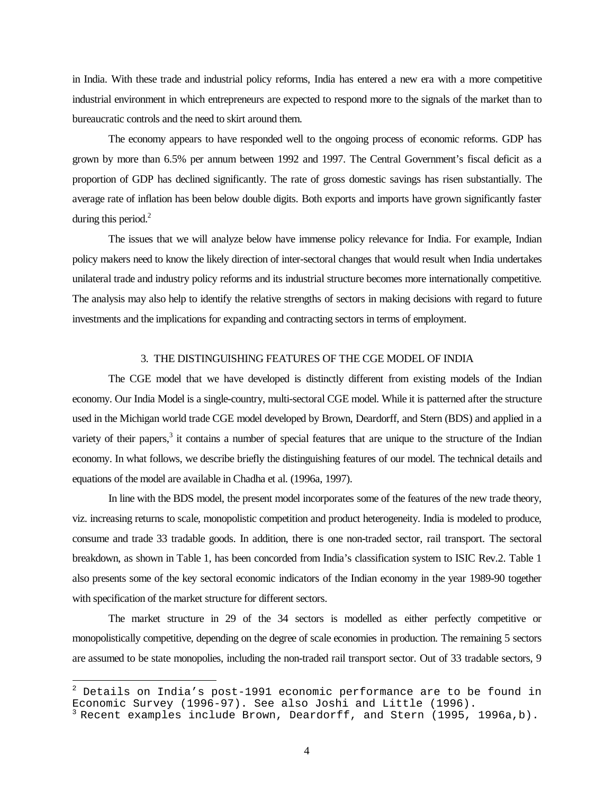in India. With these trade and industrial policy reforms, India has entered a new era with a more competitive industrial environment in which entrepreneurs are expected to respond more to the signals of the market than to bureaucratic controls and the need to skirt around them.

The economy appears to have responded well to the ongoing process of economic reforms. GDP has grown by more than 6.5% per annum between 1992 and 1997. The Central Government's fiscal deficit as a proportion of GDP has declined significantly. The rate of gross domestic savings has risen substantially. The average rate of inflation has been below double digits. Both exports and imports have grown significantly faster during this period. $2$ 

The issues that we will analyze below have immense policy relevance for India. For example, Indian policy makers need to know the likely direction of inter-sectoral changes that would result when India undertakes unilateral trade and industry policy reforms and its industrial structure becomes more internationally competitive. The analysis may also help to identify the relative strengths of sectors in making decisions with regard to future investments and the implications for expanding and contracting sectors in terms of employment.

#### 3. THE DISTINGUISHING FEATURES OF THE CGE MODEL OF INDIA

The CGE model that we have developed is distinctly different from existing models of the Indian economy. Our India Model is a single-country, multi-sectoral CGE model. While it is patterned after the structure used in the Michigan world trade CGE model developed by Brown, Deardorff, and Stern (BDS) and applied in a variety of their papers,<sup>3</sup> it contains a number of special features that are unique to the structure of the Indian economy. In what follows, we describe briefly the distinguishing features of our model. The technical details and equations of the model are available in Chadha et al. (1996a, 1997).

In line with the BDS model, the present model incorporates some of the features of the new trade theory, viz. increasing returns to scale, monopolistic competition and product heterogeneity. India is modeled to produce, consume and trade 33 tradable goods. In addition, there is one non-traded sector, rail transport. The sectoral breakdown, as shown in Table 1, has been concorded from India's classification system to ISIC Rev.2. Table 1 also presents some of the key sectoral economic indicators of the Indian economy in the year 1989-90 together with specification of the market structure for different sectors.

The market structure in 29 of the 34 sectors is modelled as either perfectly competitive or monopolistically competitive, depending on the degree of scale economies in production. The remaining 5 sectors are assumed to be state monopolies, including the non-traded rail transport sector. Out of 33 tradable sectors, 9

 $2$  Details on India's post-1991 economic performance are to be found in Economic Survey (1996-97). See also Joshi and Little (1996).

<sup>&</sup>lt;sup>3</sup> Recent examples include Brown, Deardorff, and Stern (1995, 1996a,b).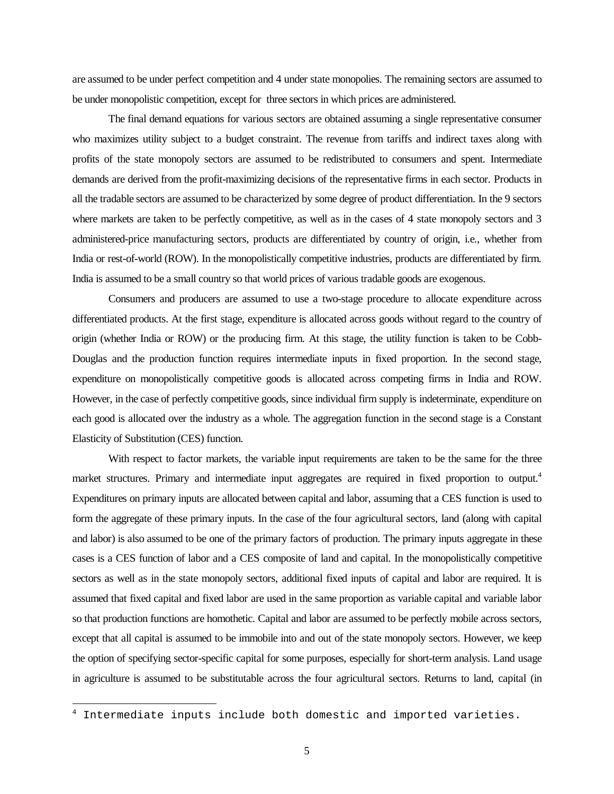are assumed to be under perfect competition and 4 under state monopolies. The remaining sectors are assumed to be under monopolistic competition, except for three sectors in which prices are administered.

The final demand equations for various sectors are obtained assuming a single representative consumer who maximizes utility subject to a budget constraint. The revenue from tariffs and indirect taxes along with profits of the state monopoly sectors are assumed to be redistributed to consumers and spent. Intermediate demands are derived from the profit-maximizing decisions of the representative firms in each sector. Products in all the tradable sectors are assumed to be characterized by some degree of product differentiation. In the 9 sectors where markets are taken to be perfectly competitive, as well as in the cases of 4 state monopoly sectors and 3 administered-price manufacturing sectors, products are differentiated by country of origin, i.e., whether from India or rest-of-world (ROW). In the monopolistically competitive industries, products are differentiated by firm. India is assumed to be a small country so that world prices of various tradable goods are exogenous.

Consumers and producers are assumed to use a two-stage procedure to allocate expenditure across differentiated products. At the first stage, expenditure is allocated across goods without regard to the country of origin (whether India or ROW) or the producing firm. At this stage, the utility function is taken to be Cobb-Douglas and the production function requires intermediate inputs in fixed proportion. In the second stage, expenditure on monopolistically competitive goods is allocated across competing firms in India and ROW. However, in the case of perfectly competitive goods, since individual firm supply is indeterminate, expenditure on each good is allocated over the industry as a whole. The aggregation function in the second stage is a Constant Elasticity of Substitution (CES) function.

With respect to factor markets, the variable input requirements are taken to be the same for the three market structures. Primary and intermediate input aggregates are required in fixed proportion to output.<sup>4</sup> Expenditures on primary inputs are allocated between capital and labor, assuming that a CES function is used to form the aggregate of these primary inputs. In the case of the four agricultural sectors, land (along with capital and labor) is also assumed to be one of the primary factors of production. The primary inputs aggregate in these cases is a CES function of labor and a CES composite of land and capital. In the monopolistically competitive sectors as well as in the state monopoly sectors, additional fixed inputs of capital and labor are required. It is assumed that fixed capital and fixed labor are used in the same proportion as variable capital and variable labor so that production functions are homothetic. Capital and labor are assumed to be perfectly mobile across sectors, except that all capital is assumed to be immobile into and out of the state monopoly sectors. However, we keep the option of specifying sector-specific capital for some purposes, especially for short-term analysis. Land usage in agriculture is assumed to be substitutable across the four agricultural sectors. Returns to land, capital (in

<sup>4</sup> Intermediate inputs include both domestic and imported varieties.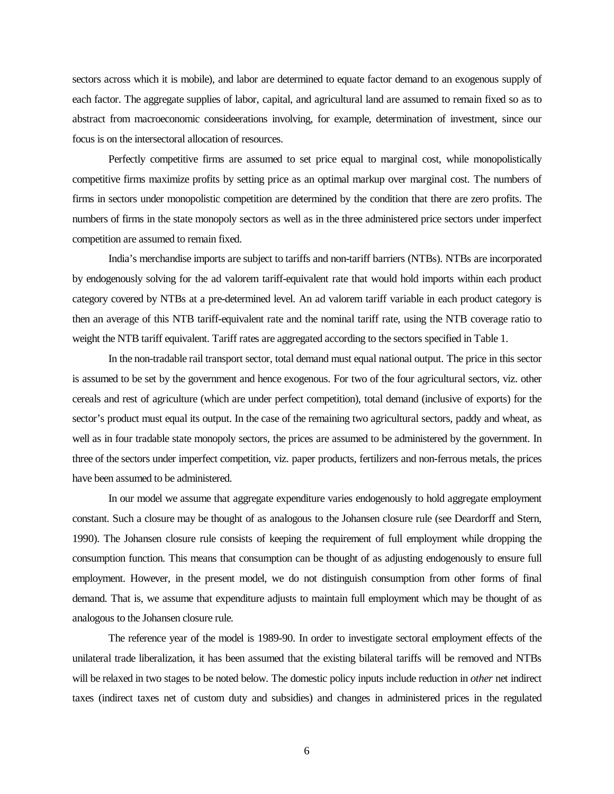sectors across which it is mobile), and labor are determined to equate factor demand to an exogenous supply of each factor. The aggregate supplies of labor, capital, and agricultural land are assumed to remain fixed so as to abstract from macroeconomic consideerations involving, for example, determination of investment, since our focus is on the intersectoral allocation of resources.

Perfectly competitive firms are assumed to set price equal to marginal cost, while monopolistically competitive firms maximize profits by setting price as an optimal markup over marginal cost. The numbers of firms in sectors under monopolistic competition are determined by the condition that there are zero profits. The numbers of firms in the state monopoly sectors as well as in the three administered price sectors under imperfect competition are assumed to remain fixed.

India's merchandise imports are subject to tariffs and non-tariff barriers (NTBs). NTBs are incorporated by endogenously solving for the ad valorem tariff-equivalent rate that would hold imports within each product category covered by NTBs at a pre-determined level. An ad valorem tariff variable in each product category is then an average of this NTB tariff-equivalent rate and the nominal tariff rate, using the NTB coverage ratio to weight the NTB tariff equivalent. Tariff rates are aggregated according to the sectors specified in Table 1.

In the non-tradable rail transport sector, total demand must equal national output. The price in this sector is assumed to be set by the government and hence exogenous. For two of the four agricultural sectors, viz. other cereals and rest of agriculture (which are under perfect competition), total demand (inclusive of exports) for the sector's product must equal its output. In the case of the remaining two agricultural sectors, paddy and wheat, as well as in four tradable state monopoly sectors, the prices are assumed to be administered by the government. In three of the sectors under imperfect competition, viz. paper products, fertilizers and non-ferrous metals, the prices have been assumed to be administered.

In our model we assume that aggregate expenditure varies endogenously to hold aggregate employment constant. Such a closure may be thought of as analogous to the Johansen closure rule (see Deardorff and Stern, 1990). The Johansen closure rule consists of keeping the requirement of full employment while dropping the consumption function. This means that consumption can be thought of as adjusting endogenously to ensure full employment. However, in the present model, we do not distinguish consumption from other forms of final demand. That is, we assume that expenditure adjusts to maintain full employment which may be thought of as analogous to the Johansen closure rule.

The reference year of the model is 1989-90. In order to investigate sectoral employment effects of the unilateral trade liberalization, it has been assumed that the existing bilateral tariffs will be removed and NTBs will be relaxed in two stages to be noted below. The domestic policy inputs include reduction in *other* net indirect taxes (indirect taxes net of custom duty and subsidies) and changes in administered prices in the regulated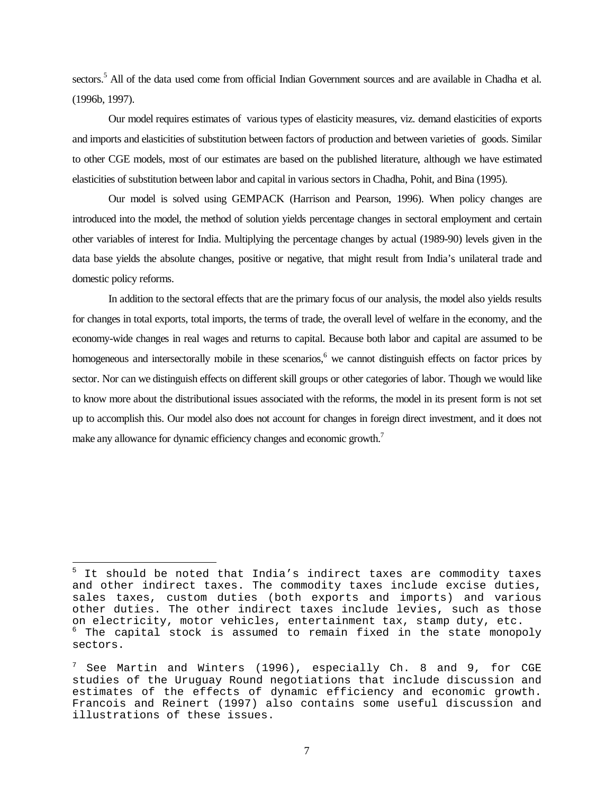sectors.<sup>5</sup> All of the data used come from official Indian Government sources and are available in Chadha et al. (1996b, 1997).

Our model requires estimates of various types of elasticity measures, viz. demand elasticities of exports and imports and elasticities of substitution between factors of production and between varieties of goods. Similar to other CGE models, most of our estimates are based on the published literature, although we have estimated elasticities of substitution between labor and capital in various sectors in Chadha, Pohit, and Bina (1995).

Our model is solved using GEMPACK (Harrison and Pearson, 1996). When policy changes are introduced into the model, the method of solution yields percentage changes in sectoral employment and certain other variables of interest for India. Multiplying the percentage changes by actual (1989-90) levels given in the data base yields the absolute changes, positive or negative, that might result from India's unilateral trade and domestic policy reforms.

In addition to the sectoral effects that are the primary focus of our analysis, the model also yields results for changes in total exports, total imports, the terms of trade, the overall level of welfare in the economy, and the economy-wide changes in real wages and returns to capital. Because both labor and capital are assumed to be homogeneous and intersectorally mobile in these scenarios,<sup>6</sup> we cannot distinguish effects on factor prices by sector. Nor can we distinguish effects on different skill groups or other categories of labor. Though we would like to know more about the distributional issues associated with the reforms, the model in its present form is not set up to accomplish this. Our model also does not account for changes in foreign direct investment, and it does not make any allowance for dynamic efficiency changes and economic growth.<sup>7</sup>

<sup>&</sup>lt;sup>5</sup> It should be noted that India's indirect taxes are commodity taxes and other indirect taxes. The commodity taxes include excise duties, sales taxes, custom duties (both exports and imports) and various other duties. The other indirect taxes include levies, such as those on electricity, motor vehicles, entertainment tax, stamp duty, etc.  $6$  The capital stock is assumed to remain fixed in the state monopoly sectors.

 $^7$  See Martin and Winters (1996), especially Ch. 8 and 9, for CGE studies of the Uruguay Round negotiations that include discussion and estimates of the effects of dynamic efficiency and economic growth. Francois and Reinert (1997) also contains some useful discussion and illustrations of these issues.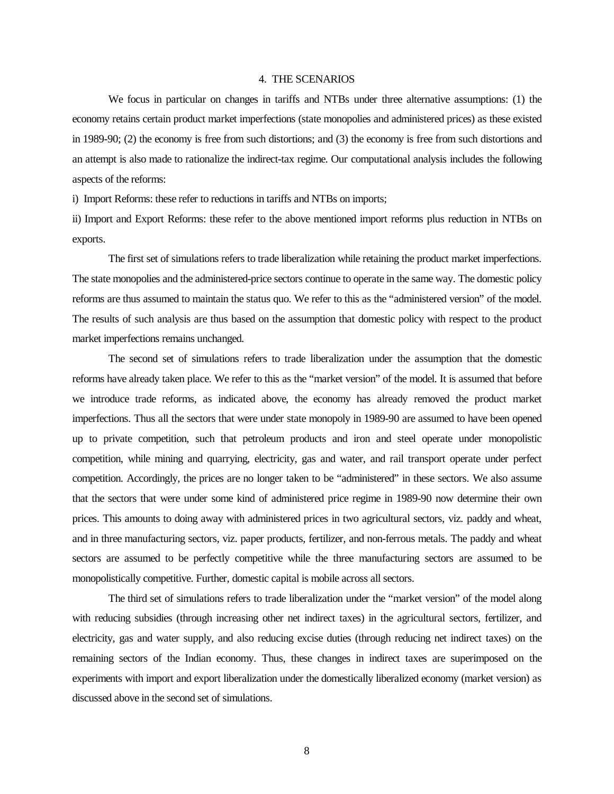#### 4. THE SCENARIOS

We focus in particular on changes in tariffs and NTBs under three alternative assumptions: (1) the economy retains certain product market imperfections (state monopolies and administered prices) as these existed in 1989-90; (2) the economy is free from such distortions; and (3) the economy is free from such distortions and an attempt is also made to rationalize the indirect-tax regime. Our computational analysis includes the following aspects of the reforms:

i) Import Reforms: these refer to reductions in tariffs and NTBs on imports;

ii) Import and Export Reforms: these refer to the above mentioned import reforms plus reduction in NTBs on exports.

The first set of simulations refers to trade liberalization while retaining the product market imperfections. The state monopolies and the administered-price sectors continue to operate in the same way. The domestic policy reforms are thus assumed to maintain the status quo. We refer to this as the "administered version" of the model. The results of such analysis are thus based on the assumption that domestic policy with respect to the product market imperfections remains unchanged.

The second set of simulations refers to trade liberalization under the assumption that the domestic reforms have already taken place. We refer to this as the "market version" of the model. It is assumed that before we introduce trade reforms, as indicated above, the economy has already removed the product market imperfections. Thus all the sectors that were under state monopoly in 1989-90 are assumed to have been opened up to private competition, such that petroleum products and iron and steel operate under monopolistic competition, while mining and quarrying, electricity, gas and water, and rail transport operate under perfect competition. Accordingly, the prices are no longer taken to be "administered" in these sectors. We also assume that the sectors that were under some kind of administered price regime in 1989-90 now determine their own prices. This amounts to doing away with administered prices in two agricultural sectors, viz. paddy and wheat, and in three manufacturing sectors, viz. paper products, fertilizer, and non-ferrous metals. The paddy and wheat sectors are assumed to be perfectly competitive while the three manufacturing sectors are assumed to be monopolistically competitive. Further, domestic capital is mobile across all sectors.

The third set of simulations refers to trade liberalization under the "market version" of the model along with reducing subsidies (through increasing other net indirect taxes) in the agricultural sectors, fertilizer, and electricity, gas and water supply, and also reducing excise duties (through reducing net indirect taxes) on the remaining sectors of the Indian economy. Thus, these changes in indirect taxes are superimposed on the experiments with import and export liberalization under the domestically liberalized economy (market version) as discussed above in the second set of simulations.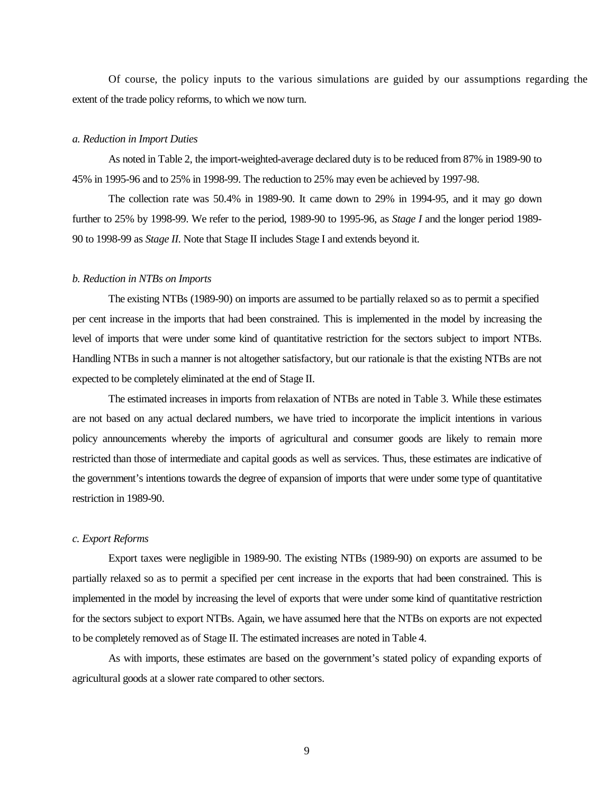Of course, the policy inputs to the various simulations are guided by our assumptions regarding the extent of the trade policy reforms, to which we now turn.

#### *a. Reduction in Import Duties*

As noted in Table 2, the import-weighted-average declared duty is to be reduced from 87% in 1989-90 to 45% in 1995-96 and to 25% in 1998-99. The reduction to 25% may even be achieved by 1997-98.

The collection rate was 50.4% in 1989-90. It came down to 29% in 1994-95, and it may go down further to 25% by 1998-99. We refer to the period, 1989-90 to 1995-96, as *Stage I* and the longer period 1989- 90 to 1998-99 as *Stage II*. Note that Stage II includes Stage I and extends beyond it.

#### *b. Reduction in NTBs on Imports*

The existing NTBs (1989-90) on imports are assumed to be partially relaxed so as to permit a specified per cent increase in the imports that had been constrained. This is implemented in the model by increasing the level of imports that were under some kind of quantitative restriction for the sectors subject to import NTBs. Handling NTBs in such a manner is not altogether satisfactory, but our rationale is that the existing NTBs are not expected to be completely eliminated at the end of Stage II.

The estimated increases in imports from relaxation of NTBs are noted in Table 3. While these estimates are not based on any actual declared numbers, we have tried to incorporate the implicit intentions in various policy announcements whereby the imports of agricultural and consumer goods are likely to remain more restricted than those of intermediate and capital goods as well as services. Thus, these estimates are indicative of the government's intentions towards the degree of expansion of imports that were under some type of quantitative restriction in 1989-90.

#### *c. Export Reforms*

Export taxes were negligible in 1989-90. The existing NTBs (1989-90) on exports are assumed to be partially relaxed so as to permit a specified per cent increase in the exports that had been constrained. This is implemented in the model by increasing the level of exports that were under some kind of quantitative restriction for the sectors subject to export NTBs. Again, we have assumed here that the NTBs on exports are not expected to be completely removed as of Stage II. The estimated increases are noted in Table 4.

As with imports, these estimates are based on the government's stated policy of expanding exports of agricultural goods at a slower rate compared to other sectors.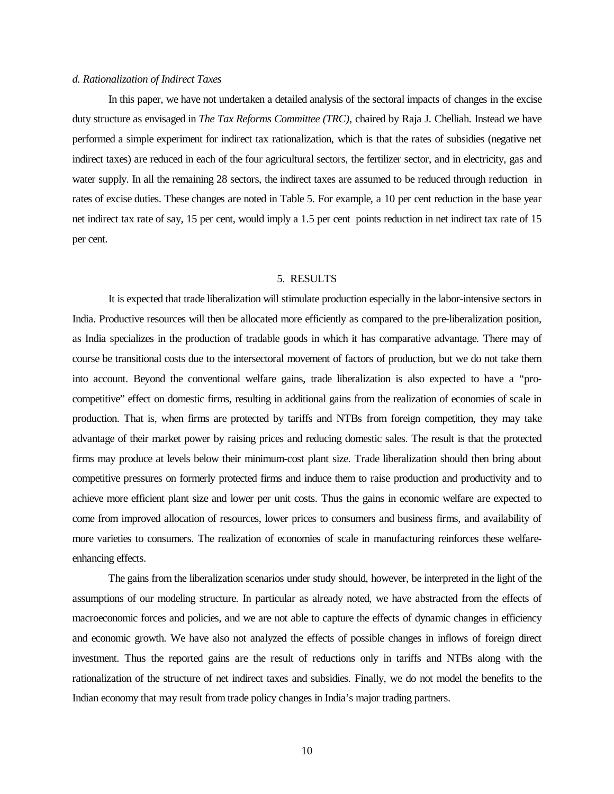#### *d. Rationalization of Indirect Taxes*

In this paper, we have not undertaken a detailed analysis of the sectoral impacts of changes in the excise duty structure as envisaged in *The Tax Reforms Committee (TRC),* chaired by Raja J. Chelliah. Instead we have performed a simple experiment for indirect tax rationalization, which is that the rates of subsidies (negative net indirect taxes) are reduced in each of the four agricultural sectors, the fertilizer sector, and in electricity, gas and water supply. In all the remaining 28 sectors, the indirect taxes are assumed to be reduced through reduction in rates of excise duties. These changes are noted in Table 5. For example, a 10 per cent reduction in the base year net indirect tax rate of say, 15 per cent, would imply a 1.5 per cent points reduction in net indirect tax rate of 15 per cent.

#### 5. RESULTS

It is expected that trade liberalization will stimulate production especially in the labor-intensive sectors in India. Productive resources will then be allocated more efficiently as compared to the pre-liberalization position, as India specializes in the production of tradable goods in which it has comparative advantage. There may of course be transitional costs due to the intersectoral movement of factors of production, but we do not take them into account. Beyond the conventional welfare gains, trade liberalization is also expected to have a "procompetitive" effect on domestic firms, resulting in additional gains from the realization of economies of scale in production. That is, when firms are protected by tariffs and NTBs from foreign competition, they may take advantage of their market power by raising prices and reducing domestic sales. The result is that the protected firms may produce at levels below their minimum-cost plant size. Trade liberalization should then bring about competitive pressures on formerly protected firms and induce them to raise production and productivity and to achieve more efficient plant size and lower per unit costs. Thus the gains in economic welfare are expected to come from improved allocation of resources, lower prices to consumers and business firms, and availability of more varieties to consumers. The realization of economies of scale in manufacturing reinforces these welfareenhancing effects.

The gains from the liberalization scenarios under study should, however, be interpreted in the light of the assumptions of our modeling structure. In particular as already noted, we have abstracted from the effects of macroeconomic forces and policies, and we are not able to capture the effects of dynamic changes in efficiency and economic growth. We have also not analyzed the effects of possible changes in inflows of foreign direct investment. Thus the reported gains are the result of reductions only in tariffs and NTBs along with the rationalization of the structure of net indirect taxes and subsidies. Finally, we do not model the benefits to the Indian economy that may result from trade policy changes in India's major trading partners.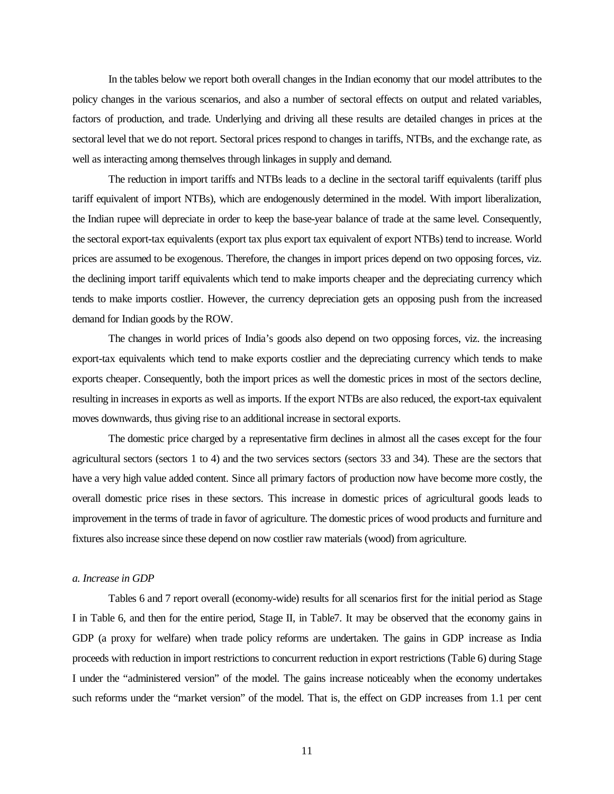In the tables below we report both overall changes in the Indian economy that our model attributes to the policy changes in the various scenarios, and also a number of sectoral effects on output and related variables, factors of production, and trade. Underlying and driving all these results are detailed changes in prices at the sectoral level that we do not report. Sectoral prices respond to changes in tariffs, NTBs, and the exchange rate, as well as interacting among themselves through linkages in supply and demand.

The reduction in import tariffs and NTBs leads to a decline in the sectoral tariff equivalents (tariff plus tariff equivalent of import NTBs), which are endogenously determined in the model. With import liberalization, the Indian rupee will depreciate in order to keep the base-year balance of trade at the same level. Consequently, the sectoral export-tax equivalents (export tax plus export tax equivalent of export NTBs) tend to increase. World prices are assumed to be exogenous. Therefore, the changes in import prices depend on two opposing forces, viz. the declining import tariff equivalents which tend to make imports cheaper and the depreciating currency which tends to make imports costlier. However, the currency depreciation gets an opposing push from the increased demand for Indian goods by the ROW.

The changes in world prices of India's goods also depend on two opposing forces, viz. the increasing export-tax equivalents which tend to make exports costlier and the depreciating currency which tends to make exports cheaper. Consequently, both the import prices as well the domestic prices in most of the sectors decline, resulting in increases in exports as well as imports. If the export NTBs are also reduced, the export-tax equivalent moves downwards, thus giving rise to an additional increase in sectoral exports.

The domestic price charged by a representative firm declines in almost all the cases except for the four agricultural sectors (sectors 1 to 4) and the two services sectors (sectors 33 and 34). These are the sectors that have a very high value added content. Since all primary factors of production now have become more costly, the overall domestic price rises in these sectors. This increase in domestic prices of agricultural goods leads to improvement in the terms of trade in favor of agriculture. The domestic prices of wood products and furniture and fixtures also increase since these depend on now costlier raw materials (wood) from agriculture.

#### *a. Increase in GDP*

Tables 6 and 7 report overall (economy-wide) results for all scenarios first for the initial period as Stage I in Table 6, and then for the entire period, Stage II, in Table7. It may be observed that the economy gains in GDP (a proxy for welfare) when trade policy reforms are undertaken. The gains in GDP increase as India proceeds with reduction in import restrictions to concurrent reduction in export restrictions (Table 6) during Stage I under the "administered version" of the model. The gains increase noticeably when the economy undertakes such reforms under the "market version" of the model. That is, the effect on GDP increases from 1.1 per cent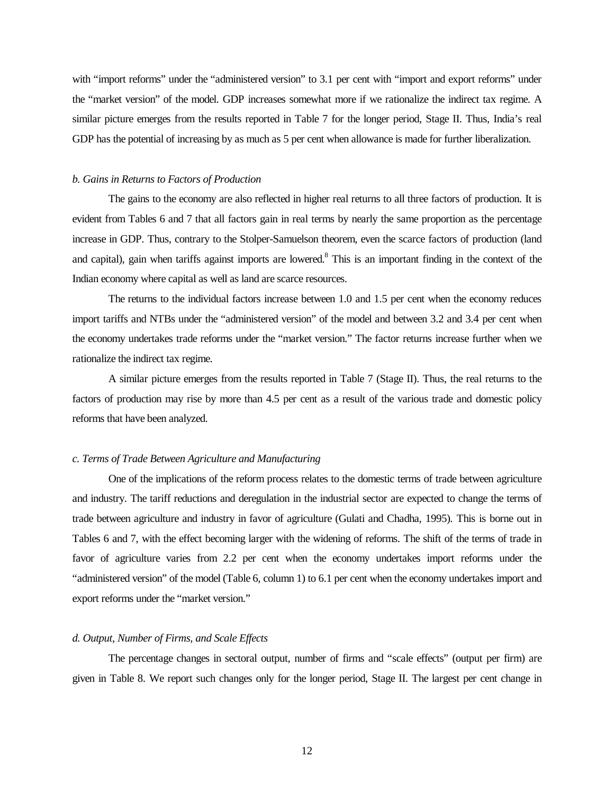with "import reforms" under the "administered version" to 3.1 per cent with "import and export reforms" under the "market version" of the model. GDP increases somewhat more if we rationalize the indirect tax regime. A similar picture emerges from the results reported in Table 7 for the longer period, Stage II. Thus, India's real GDP has the potential of increasing by as much as 5 per cent when allowance is made for further liberalization.

#### *b. Gains in Returns to Factors of Production*

The gains to the economy are also reflected in higher real returns to all three factors of production. It is evident from Tables 6 and 7 that all factors gain in real terms by nearly the same proportion as the percentage increase in GDP. Thus, contrary to the Stolper-Samuelson theorem, even the scarce factors of production (land and capital), gain when tariffs against imports are lowered.<sup>8</sup> This is an important finding in the context of the Indian economy where capital as well as land are scarce resources.

The returns to the individual factors increase between 1.0 and 1.5 per cent when the economy reduces import tariffs and NTBs under the "administered version" of the model and between 3.2 and 3.4 per cent when the economy undertakes trade reforms under the "market version." The factor returns increase further when we rationalize the indirect tax regime.

A similar picture emerges from the results reported in Table 7 (Stage II). Thus, the real returns to the factors of production may rise by more than 4.5 per cent as a result of the various trade and domestic policy reforms that have been analyzed.

#### *c. Terms of Trade Between Agriculture and Manufacturing*

One of the implications of the reform process relates to the domestic terms of trade between agriculture and industry. The tariff reductions and deregulation in the industrial sector are expected to change the terms of trade between agriculture and industry in favor of agriculture (Gulati and Chadha, 1995). This is borne out in Tables 6 and 7, with the effect becoming larger with the widening of reforms. The shift of the terms of trade in favor of agriculture varies from 2.2 per cent when the economy undertakes import reforms under the "administered version" of the model (Table 6, column 1) to 6.1 per cent when the economy undertakes import and export reforms under the "market version."

#### *d. Output, Number of Firms, and Scale Effects*

The percentage changes in sectoral output, number of firms and "scale effects" (output per firm) are given in Table 8. We report such changes only for the longer period, Stage II. The largest per cent change in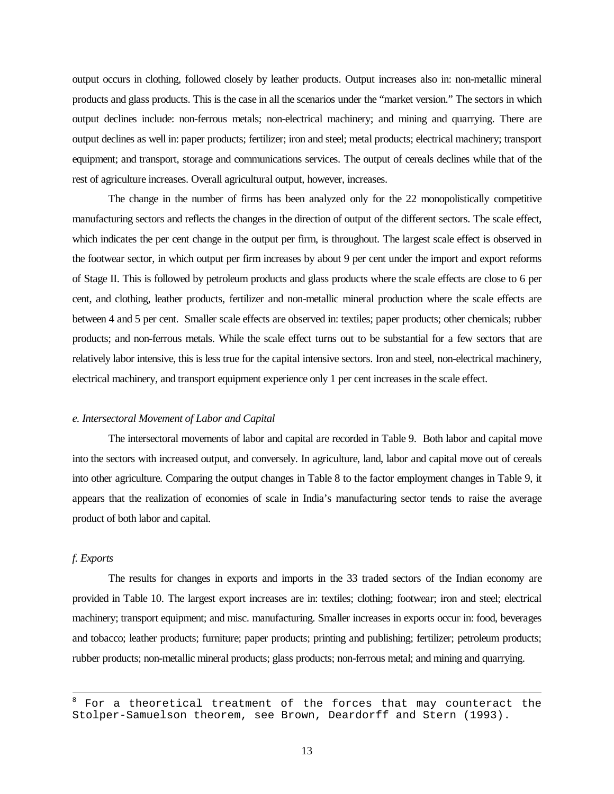output occurs in clothing, followed closely by leather products. Output increases also in: non-metallic mineral products and glass products. This is the case in all the scenarios under the "market version." The sectors in which output declines include: non-ferrous metals; non-electrical machinery; and mining and quarrying. There are output declines as well in: paper products; fertilizer; iron and steel; metal products; electrical machinery; transport equipment; and transport, storage and communications services. The output of cereals declines while that of the rest of agriculture increases. Overall agricultural output, however, increases.

The change in the number of firms has been analyzed only for the 22 monopolistically competitive manufacturing sectors and reflects the changes in the direction of output of the different sectors. The scale effect, which indicates the per cent change in the output per firm, is throughout. The largest scale effect is observed in the footwear sector, in which output per firm increases by about 9 per cent under the import and export reforms of Stage II. This is followed by petroleum products and glass products where the scale effects are close to 6 per cent, and clothing, leather products, fertilizer and non-metallic mineral production where the scale effects are between 4 and 5 per cent. Smaller scale effects are observed in: textiles; paper products; other chemicals; rubber products; and non-ferrous metals. While the scale effect turns out to be substantial for a few sectors that are relatively labor intensive, this is less true for the capital intensive sectors. Iron and steel, non-electrical machinery, electrical machinery, and transport equipment experience only 1 per cent increases in the scale effect.

#### *e. Intersectoral Movement of Labor and Capital*

The intersectoral movements of labor and capital are recorded in Table 9. Both labor and capital move into the sectors with increased output, and conversely. In agriculture, land, labor and capital move out of cereals into other agriculture. Comparing the output changes in Table 8 to the factor employment changes in Table 9, it appears that the realization of economies of scale in India's manufacturing sector tends to raise the average product of both labor and capital.

#### *f. Exports*

The results for changes in exports and imports in the 33 traded sectors of the Indian economy are provided in Table 10. The largest export increases are in: textiles; clothing; footwear; iron and steel; electrical machinery; transport equipment; and misc. manufacturing. Smaller increases in exports occur in: food, beverages and tobacco; leather products; furniture; paper products; printing and publishing; fertilizer; petroleum products; rubber products; non-metallic mineral products; glass products; non-ferrous metal; and mining and quarrying.

<sup>8</sup> For a theoretical treatment of the forces that may counteract the Stolper-Samuelson theorem, see Brown, Deardorff and Stern (1993).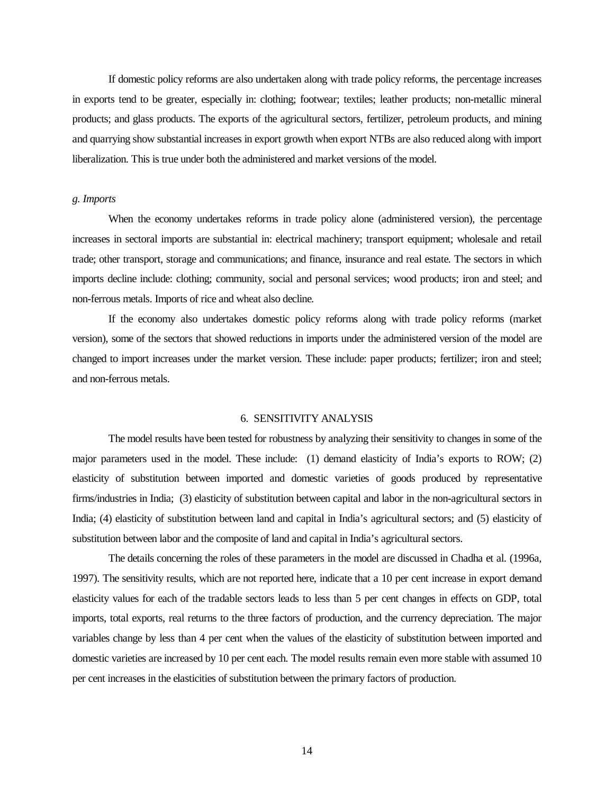If domestic policy reforms are also undertaken along with trade policy reforms, the percentage increases in exports tend to be greater, especially in: clothing; footwear; textiles; leather products; non-metallic mineral products; and glass products. The exports of the agricultural sectors, fertilizer, petroleum products, and mining and quarrying show substantial increases in export growth when export NTBs are also reduced along with import liberalization. This is true under both the administered and market versions of the model.

#### *g. Imports*

When the economy undertakes reforms in trade policy alone (administered version), the percentage increases in sectoral imports are substantial in: electrical machinery; transport equipment; wholesale and retail trade; other transport, storage and communications; and finance, insurance and real estate. The sectors in which imports decline include: clothing; community, social and personal services; wood products; iron and steel; and non-ferrous metals. Imports of rice and wheat also decline.

If the economy also undertakes domestic policy reforms along with trade policy reforms (market version), some of the sectors that showed reductions in imports under the administered version of the model are changed to import increases under the market version. These include: paper products; fertilizer; iron and steel; and non-ferrous metals.

#### 6. SENSITIVITY ANALYSIS

The model results have been tested for robustness by analyzing their sensitivity to changes in some of the major parameters used in the model. These include: (1) demand elasticity of India's exports to ROW; (2) elasticity of substitution between imported and domestic varieties of goods produced by representative firms/industries in India; (3) elasticity of substitution between capital and labor in the non-agricultural sectors in India; (4) elasticity of substitution between land and capital in India's agricultural sectors; and (5) elasticity of substitution between labor and the composite of land and capital in India's agricultural sectors.

The details concerning the roles of these parameters in the model are discussed in Chadha et al. (1996a, 1997). The sensitivity results, which are not reported here, indicate that a 10 per cent increase in export demand elasticity values for each of the tradable sectors leads to less than 5 per cent changes in effects on GDP, total imports, total exports, real returns to the three factors of production, and the currency depreciation. The major variables change by less than 4 per cent when the values of the elasticity of substitution between imported and domestic varieties are increased by 10 per cent each. The model results remain even more stable with assumed 10 per cent increases in the elasticities of substitution between the primary factors of production.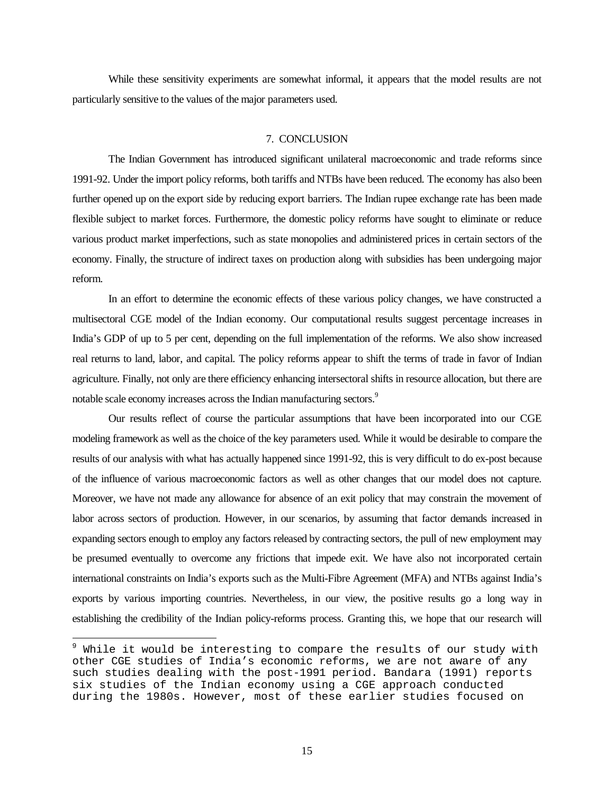While these sensitivity experiments are somewhat informal, it appears that the model results are not particularly sensitive to the values of the major parameters used.

#### 7. CONCLUSION

The Indian Government has introduced significant unilateral macroeconomic and trade reforms since 1991-92. Under the import policy reforms, both tariffs and NTBs have been reduced. The economy has also been further opened up on the export side by reducing export barriers. The Indian rupee exchange rate has been made flexible subject to market forces. Furthermore, the domestic policy reforms have sought to eliminate or reduce various product market imperfections, such as state monopolies and administered prices in certain sectors of the economy. Finally, the structure of indirect taxes on production along with subsidies has been undergoing major reform.

In an effort to determine the economic effects of these various policy changes, we have constructed a multisectoral CGE model of the Indian economy. Our computational results suggest percentage increases in India's GDP of up to 5 per cent, depending on the full implementation of the reforms. We also show increased real returns to land, labor, and capital. The policy reforms appear to shift the terms of trade in favor of Indian agriculture. Finally, not only are there efficiency enhancing intersectoral shifts in resource allocation, but there are notable scale economy increases across the Indian manufacturing sectors.<sup>9</sup>

Our results reflect of course the particular assumptions that have been incorporated into our CGE modeling framework as well as the choice of the key parameters used. While it would be desirable to compare the results of our analysis with what has actually happened since 1991-92, this is very difficult to do ex-post because of the influence of various macroeconomic factors as well as other changes that our model does not capture. Moreover, we have not made any allowance for absence of an exit policy that may constrain the movement of labor across sectors of production. However, in our scenarios, by assuming that factor demands increased in expanding sectors enough to employ any factors released by contracting sectors, the pull of new employment may be presumed eventually to overcome any frictions that impede exit. We have also not incorporated certain international constraints on India's exports such as the Multi-Fibre Agreement (MFA) and NTBs against India's exports by various importing countries. Nevertheless, in our view, the positive results go a long way in establishing the credibility of the Indian policy-reforms process. Granting this, we hope that our research will

 $^9$  While it would be interesting to compare the results of our study with other CGE studies of India's economic reforms, we are not aware of any such studies dealing with the post-1991 period. Bandara (1991) reports six studies of the Indian economy using a CGE approach conducted during the 1980s. However, most of these earlier studies focused on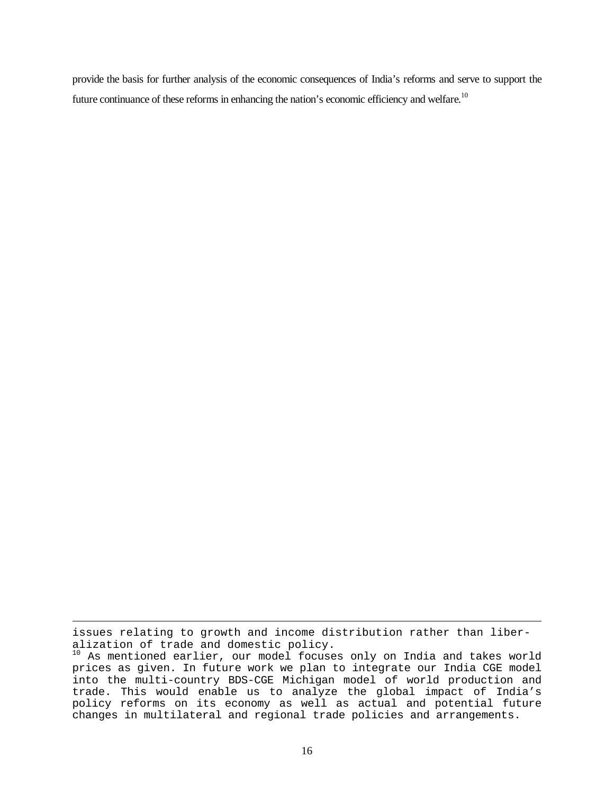provide the basis for further analysis of the economic consequences of India's reforms and serve to support the future continuance of these reforms in enhancing the nation's economic efficiency and welfare.<sup>10</sup>

 issues relating to growth and income distribution rather than liberalization of trade and domestic policy.

<sup>10</sup> As mentioned earlier, our model focuses only on India and takes world prices as given. In future work we plan to integrate our India CGE model into the multi-country BDS-CGE Michigan model of world production and trade. This would enable us to analyze the global impact of India's policy reforms on its economy as well as actual and potential future changes in multilateral and regional trade policies and arrangements.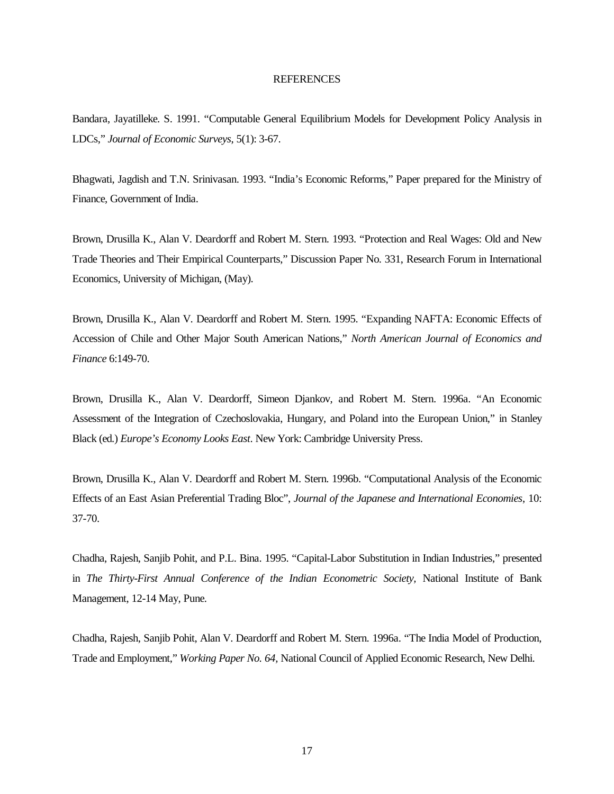#### **REFERENCES**

Bandara, Jayatilleke. S. 1991. "Computable General Equilibrium Models for Development Policy Analysis in LDCs," *Journal of Economic Surveys*, 5(1): 3-67.

Bhagwati, Jagdish and T.N. Srinivasan. 1993. "India's Economic Reforms," Paper prepared for the Ministry of Finance, Government of India.

Brown, Drusilla K., Alan V. Deardorff and Robert M. Stern. 1993. "Protection and Real Wages: Old and New Trade Theories and Their Empirical Counterparts," Discussion Paper No. 331, Research Forum in International Economics, University of Michigan, (May).

Brown, Drusilla K., Alan V. Deardorff and Robert M. Stern. 1995. "Expanding NAFTA: Economic Effects of Accession of Chile and Other Major South American Nations," *North American Journal of Economics and Finance* 6:149-70.

Brown, Drusilla K., Alan V. Deardorff, Simeon Djankov, and Robert M. Stern. 1996a. "An Economic Assessment of the Integration of Czechoslovakia, Hungary, and Poland into the European Union," in Stanley Black (ed.) *Europe's Economy Looks East*. New York: Cambridge University Press.

Brown, Drusilla K., Alan V. Deardorff and Robert M. Stern. 1996b. "Computational Analysis of the Economic Effects of an East Asian Preferential Trading Bloc", *Journal of the Japanese and International Economies*, 10: 37-70.

Chadha, Rajesh, Sanjib Pohit, and P.L. Bina. 1995. "Capital-Labor Substitution in Indian Industries," presented in *The Thirty-First Annual Conference of the Indian Econometric Society,* National Institute of Bank Management, 12-14 May, Pune.

Chadha, Rajesh, Sanjib Pohit, Alan V. Deardorff and Robert M. Stern. 1996a. "The India Model of Production, Trade and Employment," *Working Paper No. 64,* National Council of Applied Economic Research, New Delhi.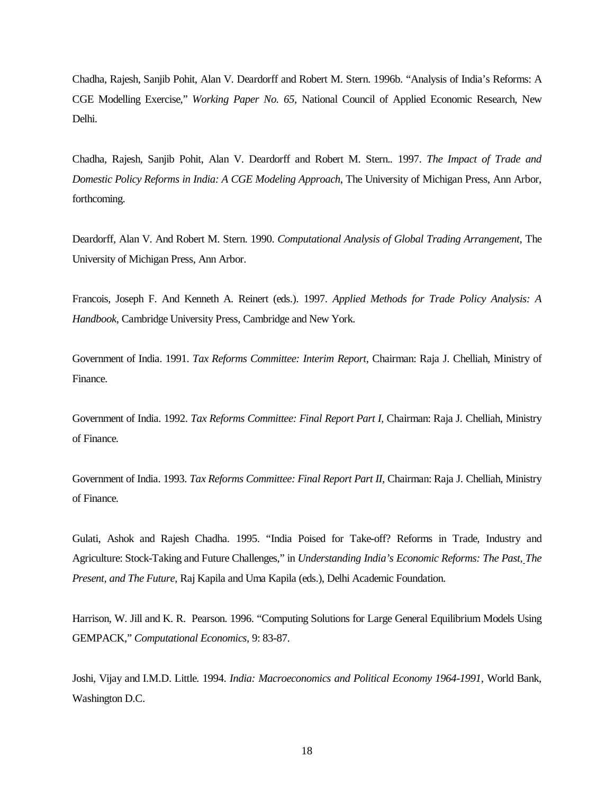Chadha, Rajesh, Sanjib Pohit, Alan V. Deardorff and Robert M. Stern. 1996b. "Analysis of India's Reforms: A CGE Modelling Exercise," *Working Paper No. 65,* National Council of Applied Economic Research, New Delhi.

Chadha, Rajesh, Sanjib Pohit, Alan V. Deardorff and Robert M. Stern.*.* 1997. *The Impact of Trade and Domestic Policy Reforms in India: A CGE Modeling Approach*, The University of Michigan Press, Ann Arbor, forthcoming.

Deardorff, Alan V. And Robert M. Stern. 1990. *Computational Analysis of Global Trading Arrangement*, The University of Michigan Press, Ann Arbor.

Francois, Joseph F. And Kenneth A. Reinert (eds.). 1997. *Applied Methods for Trade Policy Analysis: A Handbook*, Cambridge University Press, Cambridge and New York.

Government of India. 1991. *Tax Reforms Committee: Interim Report,* Chairman: Raja J. Chelliah, Ministry of Finance.

Government of India. 1992. *Tax Reforms Committee: Final Report Part I,* Chairman: Raja J. Chelliah, Ministry of Finance.

Government of India. 1993. *Tax Reforms Committee: Final Report Part II*, Chairman: Raja J. Chelliah, Ministry of Finance.

Gulati, Ashok and Rajesh Chadha. 1995. "India Poised for Take-off? Reforms in Trade, Industry and Agriculture: Stock-Taking and Future Challenges," in *Understanding India's Economic Reforms: The Past, The Present, and The Future*, Raj Kapila and Uma Kapila (eds.), Delhi Academic Foundation.

Harrison, W. Jill and K. R. Pearson. 1996. "Computing Solutions for Large General Equilibrium Models Using GEMPACK," *Computational Economics*, 9: 83-87.

Joshi, Vijay and I.M.D. Little. 1994. *India: Macroeconomics and Political Economy 1964-1991*, World Bank, Washington D.C.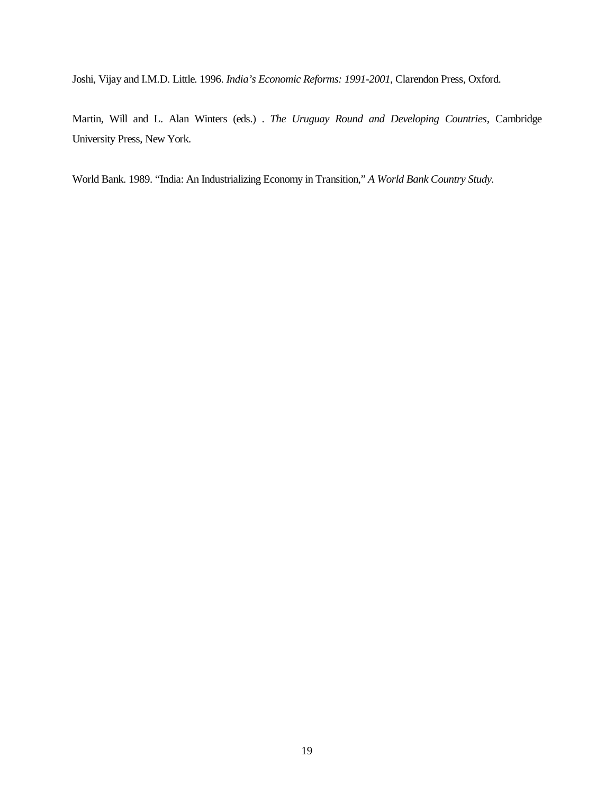Joshi, Vijay and I.M.D. Little. 1996. *India's Economic Reforms: 1991-2001*, Clarendon Press, Oxford.

Martin, Will and L. Alan Winters (eds.) . *The Uruguay Round and Developing Countries*, Cambridge University Press, New York.

World Bank. 1989. "India: An Industrializing Economy in Transition," *A World Bank Country Study.*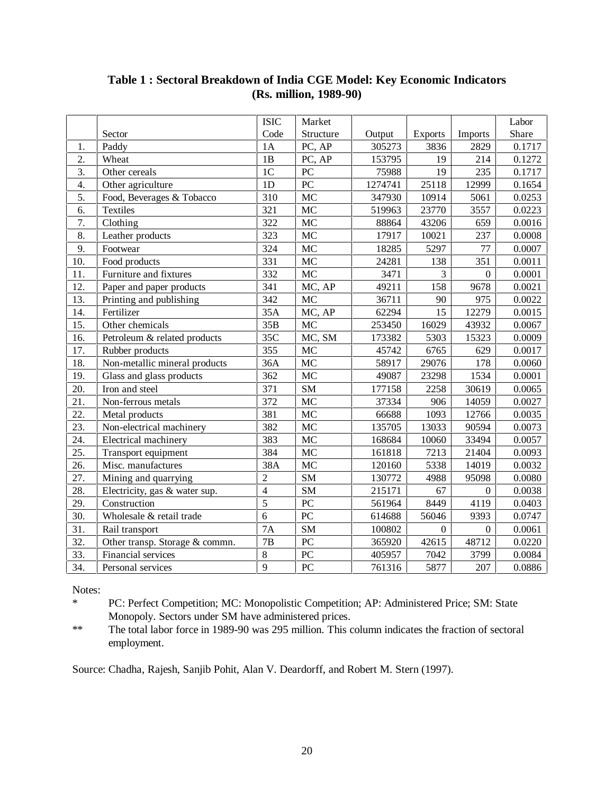|     |                                | <b>ISIC</b>    | Market    |         |                |                  | Labor  |
|-----|--------------------------------|----------------|-----------|---------|----------------|------------------|--------|
|     | Sector                         | Code           | Structure | Output  | <b>Exports</b> | Imports          | Share  |
| 1.  | Paddy                          | 1A             | PC, AP    | 305273  | 3836           | 2829             | 0.1717 |
| 2.  | Wheat                          | 1B             | PC, AP    | 153795  | 19             | 214              | 0.1272 |
| 3.  | Other cereals                  | 1 <sup>C</sup> | PC        | 75988   | 19             | 235              | 0.1717 |
| 4.  | Other agriculture              | 1 <sub>D</sub> | PC        | 1274741 | 25118          | 12999            | 0.1654 |
| 5.  | Food, Beverages & Tobacco      | 310            | MC        | 347930  | 10914          | 5061             | 0.0253 |
| 6.  | <b>Textiles</b>                | 321            | <b>MC</b> | 519963  | 23770          | 3557             | 0.0223 |
| 7.  | Clothing                       | 322            | MC        | 88864   | 43206          | 659              | 0.0016 |
| 8.  | Leather products               | 323            | <b>MC</b> | 17917   | 10021          | 237              | 0.0008 |
| 9.  | Footwear                       | 324            | MC        | 18285   | 5297           | 77               | 0.0007 |
| 10. | Food products                  | 331            | <b>MC</b> | 24281   | 138            | 351              | 0.0011 |
| 11. | Furniture and fixtures         | 332            | <b>MC</b> | 3471    | 3              | $\boldsymbol{0}$ | 0.0001 |
| 12. | Paper and paper products       | 341            | MC, AP    | 49211   | 158            | 9678             | 0.0021 |
| 13. | Printing and publishing        | 342            | MC        | 36711   | 90             | 975              | 0.0022 |
| 14. | Fertilizer                     | 35A            | MC, AP    | 62294   | 15             | 12279            | 0.0015 |
| 15. | Other chemicals                | 35B            | MC        | 253450  | 16029          | 43932            | 0.0067 |
| 16. | Petroleum & related products   | 35C            | MC, SM    | 173382  | 5303           | 15323            | 0.0009 |
| 17. | Rubber products                | 355            | MC        | 45742   | 6765           | 629              | 0.0017 |
| 18. | Non-metallic mineral products  | 36A            | MC        | 58917   | 29076          | 178              | 0.0060 |
| 19. | Glass and glass products       | 362            | MC        | 49087   | 23298          | 1534             | 0.0001 |
| 20. | Iron and steel                 | 371            | <b>SM</b> | 177158  | 2258           | 30619            | 0.0065 |
| 21. | Non-ferrous metals             | 372            | MC        | 37334   | 906            | 14059            | 0.0027 |
| 22. | Metal products                 | 381            | <b>MC</b> | 66688   | 1093           | 12766            | 0.0035 |
| 23. | Non-electrical machinery       | 382            | MC        | 135705  | 13033          | 90594            | 0.0073 |
| 24. | Electrical machinery           | 383            | <b>MC</b> | 168684  | 10060          | 33494            | 0.0057 |
| 25. | Transport equipment            | 384            | MC        | 161818  | 7213           | 21404            | 0.0093 |
| 26. | Misc. manufactures             | 38A            | MC        | 120160  | 5338           | 14019            | 0.0032 |
| 27. | Mining and quarrying           | $\overline{c}$ | <b>SM</b> | 130772  | 4988           | 95098            | 0.0080 |
| 28. | Electricity, gas & water sup.  | $\overline{4}$ | <b>SM</b> | 215171  | 67             | $\boldsymbol{0}$ | 0.0038 |
| 29. | Construction                   | 5              | PC        | 561964  | 8449           | 4119             | 0.0403 |
| 30. | Wholesale & retail trade       | 6              | PC        | 614688  | 56046          | 9393             | 0.0747 |
| 31. | Rail transport                 | 7A             | <b>SM</b> | 100802  | $\mathbf{0}$   | $\mathbf{0}$     | 0.0061 |
| 32. | Other transp. Storage & commn. | 7B             | PC        | 365920  | 42615          | 48712            | 0.0220 |
| 33. | Financial services             | $8\,$          | PC        | 405957  | 7042           | 3799             | 0.0084 |
| 34. | Personal services              | $\overline{9}$ | PC        | 761316  | 5877           | 207              | 0.0886 |

# **Table 1 : Sectoral Breakdown of India CGE Model: Key Economic Indicators (Rs. million, 1989-90)**

Notes:<br>\*

PC: Perfect Competition; MC: Monopolistic Competition; AP: Administered Price; SM: State Monopoly. Sectors under SM have administered prices.

\*\* The total labor force in 1989-90 was 295 million. This column indicates the fraction of sectoral employment.

Source: Chadha, Rajesh, Sanjib Pohit, Alan V. Deardorff, and Robert M. Stern (1997).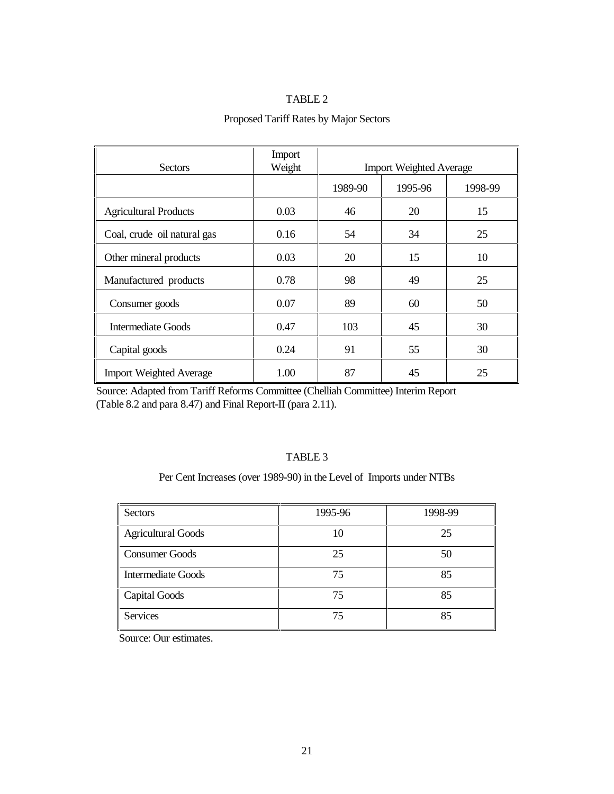### TABLE 2

# Proposed Tariff Rates by Major Sectors

| Sectors                        | Import<br>Weight |         | <b>Import Weighted Average</b> |         |
|--------------------------------|------------------|---------|--------------------------------|---------|
|                                |                  | 1989-90 | 1995-96                        | 1998-99 |
| <b>Agricultural Products</b>   | 0.03             | 46      | 20                             | 15      |
| Coal, crude oil natural gas    | 0.16             | 54      | 34                             | 25      |
| Other mineral products         | 0.03             | 20      | 15                             | 10      |
| Manufactured products          | 0.78             | 98      | 49                             | 25      |
| Consumer goods                 | 0.07             | 89      | 60                             | 50      |
| Intermediate Goods             | 0.47             | 103     | 45                             | 30      |
| Capital goods                  | 0.24             | 91      | 55                             | 30      |
| <b>Import Weighted Average</b> | 1.00             | 87      | 45                             | 25      |

 Source: Adapted from Tariff Reforms Committee (Chelliah Committee) Interim Report (Table 8.2 and para 8.47) and Final Report-II (para 2.11).

### TABLE 3

# Per Cent Increases (over 1989-90) in the Level of Imports under NTBs

| Sectors                   | 1995-96 | 1998-99 |
|---------------------------|---------|---------|
| <b>Agricultural Goods</b> |         | 25      |
| <b>Consumer Goods</b>     | 25      | 50      |
| <b>Intermediate Goods</b> | 75      | 85      |
| <b>Capital Goods</b>      | 75      | 85      |
| <b>Services</b>           | 75      | 85      |

Source: Our estimates.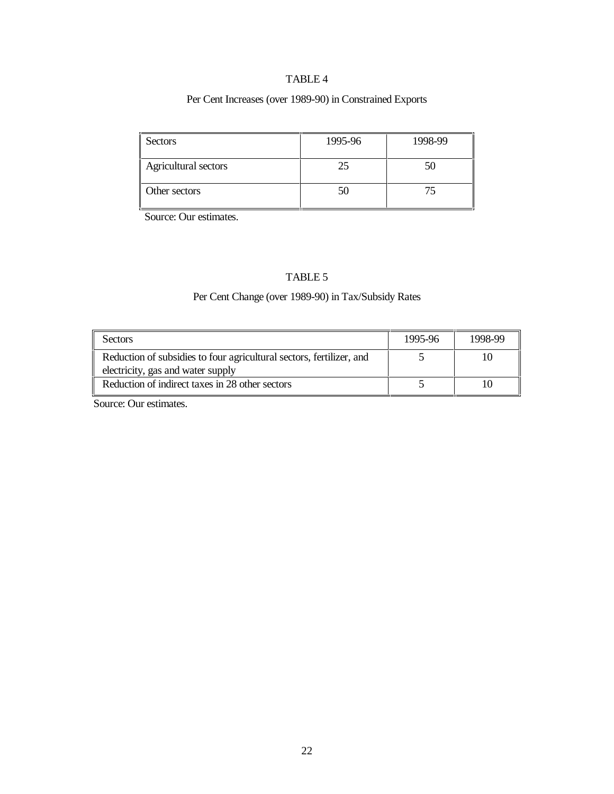# TABLE 4

# Per Cent Increases (over 1989-90) in Constrained Exports

| Sectors              | 1995-96 | 1998-99 |
|----------------------|---------|---------|
| Agricultural sectors | 25      | 50      |
| Other sectors        | 50      | 75      |

Source: Our estimates.

# TABLE 5

# Per Cent Change (over 1989-90) in Tax/Subsidy Rates

| <b>Sectors</b>                                                                                            | 1995-96 | 1998-99 |
|-----------------------------------------------------------------------------------------------------------|---------|---------|
| Reduction of subsidies to four agricultural sectors, fertilizer, and<br>electricity, gas and water supply |         |         |
| Reduction of indirect taxes in 28 other sectors                                                           |         |         |

Source: Our estimates.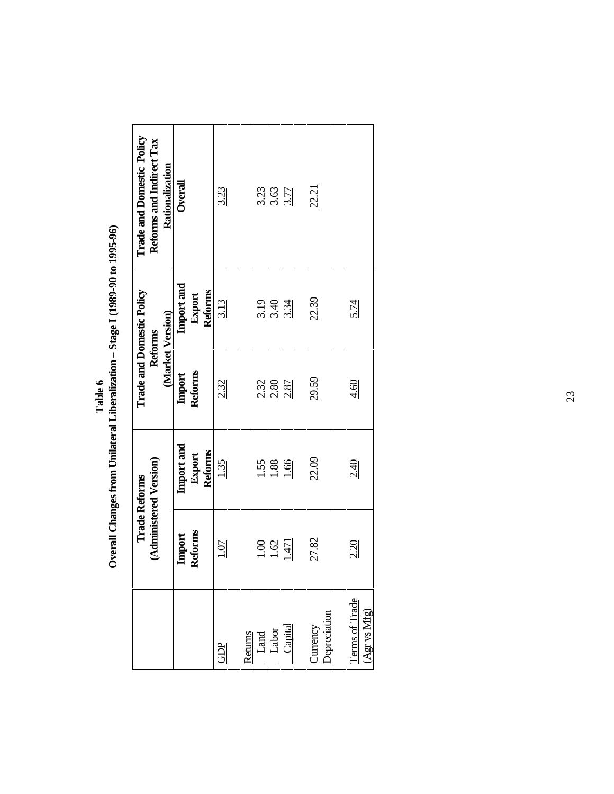|                                 | (Administered Version)<br><b>Trade Reforms</b> |                                 | (Market Version)  | <b>Trade and Domestic Policy</b><br>Reforms | Trade and Domestic Policy<br>Reforms and Indirect Tax<br>Rationalization |
|---------------------------------|------------------------------------------------|---------------------------------|-------------------|---------------------------------------------|--------------------------------------------------------------------------|
|                                 | Reforms<br>Import                              | Import and<br>Reforms<br>Export | Reforms<br>Import | Import and<br>Reforms<br>Export             | Overall                                                                  |
| GDP                             | 1.07                                           | 1.35                            | 2.32              | 3.13                                        | 3.23                                                                     |
| Land<br>Returns                 |                                                |                                 |                   |                                             |                                                                          |
| Capital<br>Labor                | $\frac{100}{1471}$                             | $\frac{155}{180}$               | $\frac{23}{280}$  | $\frac{21}{3} \frac{41}{3} \frac{41}{3}$    | $\frac{33}{9} \frac{27}{9}$                                              |
| <b>Depreciation</b><br>Currency | 27.82                                          | 22.09                           | 29.59             | 22.39                                       | 22.21                                                                    |
| Terms of Trade<br>(Agr vs Mfg)  | 2.20                                           | 240                             | $\frac{4.60}{2}$  | 5.74                                        |                                                                          |

Table 6<br>Overall Changes from Unilateral Liberalization – Stage I (1989-90 to 1995-96) **Overall Changes from Unilateral Liberalization – Stage I (1989-90 to 1995-96)**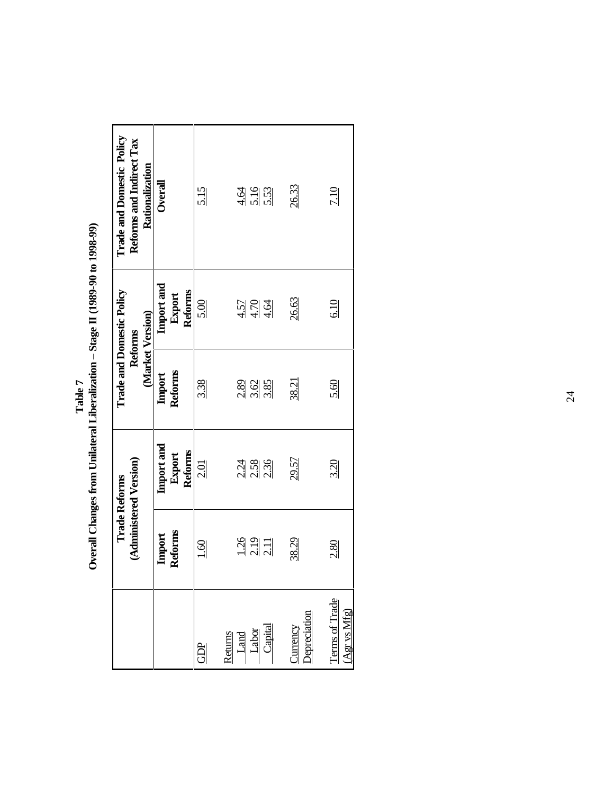|                                        | (Administered Version) | <b>Trade Reforms</b>            | Reforms                    | <b>Trade and Domestic Policy</b><br><b>Market Version</b> ) | Trade and Domestic Policy<br>Reforms and Indirect Tax<br>Rationalization |
|----------------------------------------|------------------------|---------------------------------|----------------------------|-------------------------------------------------------------|--------------------------------------------------------------------------|
|                                        | Reforms<br>Import      | Import and<br>Reforms<br>Export | Reforms<br>Import          | Import and<br>Reforms<br>Export                             | Overall                                                                  |
| GDP                                    | 0.1                    | 2.01                            | 3.38                       | 5.00                                                        | 5.15                                                                     |
| Returns<br>Land<br>Labor               | $\frac{126}{211}$      | 2.38<br>2.58<br>2.36            | 21<br>21<br>31<br>31<br>31 | $\frac{4.51}{4.01}$                                         | $\frac{4.51}{5.53}$                                                      |
| Capital                                |                        |                                 |                            |                                                             |                                                                          |
| <b>Pepreciation</b><br><b>Currency</b> | 38.29                  | 29.57                           | <u>38.21</u>               | 26.63                                                       | 26.33                                                                    |
| Terms of Trade<br>$(Agr$ vs $Mfg)$     | $\frac{2.80}{ }$       | 3.20                            | 5.60                       | 6.10                                                        | 7.10                                                                     |

Table 7  $\centering \label{eq:1}$  Overall Changes from Unilateral Liberalization – Stage II (1989-90 to 1998-99) **Overall Changes from Unilateral Liberalization – Stage II (1989-90 to 1998-99)**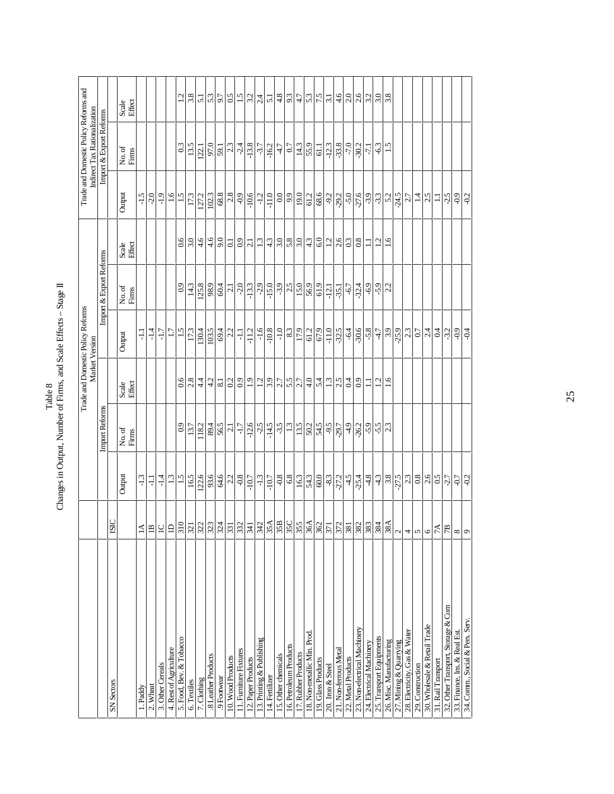| $ \mathbf{S}$<br>i<br>S<br>and $S_{\gamma\gamma}$ .<br>Ë<br>Ĥ<br>J<br>Ì |  |
|-------------------------------------------------------------------------|--|
|-------------------------------------------------------------------------|--|

|                                    |                     |                                           |                                     |                 | Trade and Domestic Policy Reforms |                         |                 |                      | Trade and Domestic Policy Reforms and |                   |
|------------------------------------|---------------------|-------------------------------------------|-------------------------------------|-----------------|-----------------------------------|-------------------------|-----------------|----------------------|---------------------------------------|-------------------|
|                                    |                     |                                           |                                     |                 | Market Version                    |                         |                 |                      | Indirect Tax Rationalization          |                   |
|                                    |                     |                                           | <b>Import Reforms</b>               |                 |                                   | Import & Export Reforms |                 |                      | Import & Export Reforms               |                   |
| SN Sectors                         | ISI                 |                                           |                                     |                 |                                   |                         |                 |                      |                                       |                   |
|                                    |                     | Output                                    | No. of $\mathop{\rm Fims}\nolimits$ | Scale<br>Effect | Output                            | $\rm No.$ of Firms      | Scale<br>Effect | Output               | No. of<br>Firms                       | Scale<br>Effect   |
| 1. Paddy                           | $\preceq$           | $-1.3$                                    |                                     |                 | 류                                 |                         |                 | $-1.5$               |                                       |                   |
| 2. Wheat                           | $\triangleq$        | 류                                         |                                     |                 | $-1.4$                            |                         |                 | $-2.0$               |                                       |                   |
| 3. Other Cereals                   | $\overline{\Omega}$ | $-1.4$                                    |                                     |                 | $-1.7$                            |                         |                 | $-1.9$               |                                       |                   |
| 4. Rest of Agriculture             | $\mathbf{r}$        | $1.3\,$                                   |                                     |                 | $\overline{17}$                   |                         |                 | 1.6                  |                                       |                   |
| 5. Food, Bev. & Tobacco            |                     | 1.5                                       | 0.9                                 |                 | 1.5                               | $^{0.9}$                | 66              | 1.5                  | 0.3                                   |                   |
| 6. Textiles                        | $\frac{310}{321}$   | 16.5                                      | 13.7                                | $rac{6}{2.8}$   | 173                               | 14.3                    | 3.0             | 17.3                 | 13.5                                  | 3.8               |
| 7. Clothing                        |                     | 122.6                                     | 118.2                               | 4.4             | 130.4                             | 125.8                   | 4.6             | 127.2                | 122.1                                 | $\overline{51}$   |
| 8 Leather Products                 | 323                 | 93.6                                      | 89.4                                | 4.2             | 103.5                             | 98.9                    | 4.6             | 102.3                | 97.0                                  | 5.3               |
| .9 Footwear                        |                     | 64.6                                      |                                     | 8.1             |                                   | 60.4                    | 9.0             | 68.8                 | 59.1                                  | 9.7               |
| 10. Wood Products                  | $\frac{324}{331}$   | 2.2                                       | 56.5                                | 0.2             | $rac{69.4}{2.2}$                  | $\overline{c}$          | $\overline{0}$  | $2.8\,$              | 2.3                                   | 0.5               |
| 11. Furniture Fixtures             | 332                 | $-0.8$                                    | $-1.7$                              | $_{0.9}$        | 量                                 | 0.7                     | $_{0.9}$        | $60 -$               | $-2.4$                                | 1.5               |
| 12. Paper Products                 | 341                 | $-10.7$                                   | $-12.6$                             |                 | $-11.2$                           | $-13.3$                 | 2.1             | $-10.6$              | $-13.8$                               | 3.2               |
| 13. Printing & Publishing          |                     | $-1.3$                                    | $-2.5$                              |                 |                                   | $-2.9$                  | $1.3\,$         |                      | $-3.7$                                | 2.4               |
| 14. Fertilizer                     | $\frac{342}{35A}$   | $-10.7$                                   | $-14.5$                             | $\frac{19}{12}$ | $-1.6$<br>$-1.0.8$                | $-15.0$                 | 43              | $\frac{-1.2}{-11.0}$ | $-16.2$                               | 5.1               |
| 15. Other chemicals                | 35B                 | $-0.8$                                    |                                     | 7.7             | $-1.0$                            | $-3.9$                  | 3.0             | 0.0                  | $-4.7$                                | 4.8               |
| 16. Petroleum Products             |                     | $6.8\,$                                   |                                     |                 | 8.3                               | 2.5                     | $5.8\,$         | 9.9                  | 0.7                                   | 9.3               |
| 17. Rubber Products                | 355                 | 16.3                                      |                                     | 5.5             | 17.9                              | 15.0                    | 3.0             | 061                  | 14.3                                  |                   |
| 18. Non-metallic Min. Prod         | 36A                 | 54.3                                      |                                     | 4.0             |                                   | 56.9                    | 43              |                      |                                       | $\frac{4.7}{5.3}$ |
| 19. Glass Products                 | 362                 | $60.0$                                    | $\frac{35}{125}$                    | 5.4             | $\frac{612}{67.9}$                | 61.9                    | 6.0             | 61.2                 | 61.1                                  | 5.7               |
| 20. Iron & Steel                   |                     |                                           |                                     |                 |                                   | $-12.1$                 | $\overline{c}$  |                      |                                       | 3.1               |
| 21. Non-ferrous Metal              | 372                 | $-8.3$<br>$-27.2$                         | $-9.5$                              | $\frac{13}{25}$ | $\frac{11.0}{32.5}$               | $-35.1$                 | 2.6             | $rac{3}{29}$<br>5.0  | $\frac{12.3}{33.8}$                   | 4.6               |
| 22. Metal Products                 | 381                 | $-4.5$                                    | 4.9                                 |                 |                                   | 59                      | 0.3             |                      |                                       | 2.0               |
| 23. Non-electrical Machinery       | 382                 | $-25.4$                                   | $-26.2$                             | $_{0.9}$        | $-30.6$                           | $-32.4$                 | 0.8             | $-27.6$              | $-30.2$                               | 2.6               |
| 24. Electrical Machinery           | 383                 | $rac{4.8}{4.3}$                           |                                     | $\Box$          | $-5.8$                            | 6.9                     | $\Xi$           | $-3.9$               | $-7.1$                                | 3.2               |
| 25. Transport Equipments           | 384                 |                                           | $\frac{59}{75}$                     | 1.2             |                                   | $-5.9$                  | 12              | $-3.3$               | $-63$                                 | 3.0               |
| 26. Misc. Manufacturing            | 38A                 | 3.8                                       |                                     | 1.6             | 3.9                               | 2.2                     | 1.6             |                      | 1.5                                   | 3.8               |
| 27. Mining & Quarrying             | 2                   | $-27.5$                                   |                                     |                 | $-25.9$                           |                         |                 | $5.2$<br>$-24.5$     |                                       |                   |
| 28. Electricity, Gas & Water       | 4                   |                                           |                                     |                 |                                   |                         |                 | 2.7                  |                                       |                   |
| 29. Construction                   | 5                   | $\begin{array}{c} 2.3 \\ 0.8 \end{array}$ |                                     |                 | 2.3                               |                         |                 | 14                   |                                       |                   |
| 30. Wholesale & Retail Trade       | $\circ$             | 2.6                                       |                                     |                 | 2.4                               |                         |                 | 2.5                  |                                       |                   |
| 31. Rail Transport                 | $7A$                | 0.5                                       |                                     |                 | 0.4                               |                         |                 | $\Box$               |                                       |                   |
| 32. Other Transport, Storage & Com | $\overline{7}$ B    | $-2.7$                                    |                                     |                 | $-3.2$                            |                         |                 | $-2.5$               |                                       |                   |
| 33. Finance, Ins. & Real Est.      | ${}^{\infty}$       | $-0.7$                                    |                                     |                 |                                   |                         |                 | $\frac{10}{9}$       |                                       |                   |
| 34. Comm., Social & Pers. Serv.    | $\circ$             | $-0.2$                                    |                                     |                 | $+0-$                             |                         |                 |                      |                                       |                   |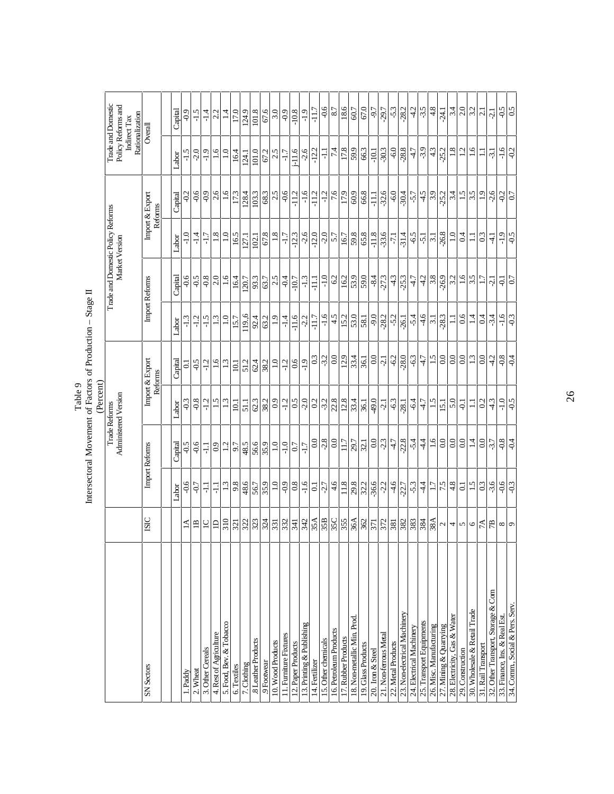|           | Trade and Domestic<br>Policy Reforms and     | Rationalization<br>Indirect Tax | Overall                    | Capital | 6.0            | $-1.5$   | $-1.4$           | 2.2                    | 1.4                     | 17.0        | 124.9             | 101.8               | 67.6        | 3.0               | $-0.9$                 | $-10.8$            | $-1.9$                    | $-11.7$          | $-0.6$              | 8.7                    | 18.6                | 60.7                        | 67.0               | $-9.7$           | $-29.7$               | $-5.3$<br>$-28.2$  |                              | 42                       | $-3.5$                   | 4.8                     | $-24.1$                | 3.4                          | 2.0              | 3.2                          | $\overline{c}$     | $-2.1$                             | $-0.5$                        | $\overline{0.5}$                |
|-----------|----------------------------------------------|---------------------------------|----------------------------|---------|----------------|----------|------------------|------------------------|-------------------------|-------------|-------------------|---------------------|-------------|-------------------|------------------------|--------------------|---------------------------|------------------|---------------------|------------------------|---------------------|-----------------------------|--------------------|------------------|-----------------------|--------------------|------------------------------|--------------------------|--------------------------|-------------------------|------------------------|------------------------------|------------------|------------------------------|--------------------|------------------------------------|-------------------------------|---------------------------------|
|           |                                              |                                 |                            | Labor   | $-1.5$         | 2.0      | $-1.9$           | 1.6                    | $\frac{0}{10}$          | 16.4        | 124.1             | 101.0               | 67.2        | 2.5               | $-1.7$                 | $-11.6$            | $-2.6$                    | $-12.2$          | 규                   | 7.4                    | 17.8                | 59.9                        | 66.3               | $-10.1$          | $-30.3$               | 6.0                | $-28.8$                      | 47                       | $-3.9$                   | 4.3                     | $-25.2$                | 1.8                          | 1.2              | $\frac{6}{1}$                |                    | ಸ                                  | $-1.6$                        | $-0.2$                          |
|           |                                              |                                 | Import & Export<br>Reforms | Capital | $\overline{6}$ | 66       | $-0.9$           | 2.6                    |                         | 173         | 128.4             | 103.3               | 68.3        | 25                | $-0.6$                 | $-11.2$            | $-1.6$                    | $-11.2$          | $-1.2$              | 7.6                    | 17.9                | 60.9                        | 66.8               | 급                | $-32.6$               | Ģ,                 | $-30.4$                      | -5.7                     | $\frac{45}{5}$           | 3.9                     | $-25.2$                | 3.4                          | 1.5              | 55                           | 1.9                | $-2.6$                             | $-0.2$                        | C <sub>0</sub>                  |
|           | Market Version                               |                                 |                            | Labor   | $\frac{1}{1}$  | $-1.4$   | $-1.7$           | 1.8                    | 1.0                     | 16.5        | $\frac{127.1}{ }$ | 102.1               | 67.8        | 1.8               | -1.7                   | $-12.3$            | $-2.6$                    | $-12.0$          | $-2.0$              | 5.7                    | 16.7                | 59.8                        | 65.8               | $-11.8$          | $-33.6$               | $-7.1$             | $-31.4$                      | 6.5                      | -5.1                     | 5.1                     | $-26.8$                | 1.0                          | 0.4              | $\Xi$                        | 0.3                | 극                                  | $-1.9$                        | $-0.5$                          |
|           | Trade and Domestic Policy Reforms            |                                 | Import Reforms             | Capital | 9.6            | $-0.5$   | $-0.8$           | 2.0                    | 1.6                     | 164         | 120.7             | 93.3                | 63.7        | 2.5               | $-0.4$                 | $-10.7$            | $-1.3$                    | $\overline{111}$ | $-1.0$              | 62                     | 16.2                | 53.9                        | 59.0               | $-8.4$           | $-27.3$               | 4.3                |                              | 47                       | $\frac{1}{2}$            | 3.8                     | $-26.9$                | 3.2                          | 1.6              | 35                           |                    | $-2.1$                             | Ę                             | $\overline{0.7}$                |
|           |                                              |                                 |                            | Labor   | $-1.3$         | $-1.2$   | $-1.5$           | 1.3                    | 1.0                     | 15.7        | 119.6             | 92.4                | 63.2        | $\overline{1.9}$  | $-1.4$                 | $-11.6$            | $-2.2$                    | $-11.7$          | $-1.6$              | 4.5                    | 15.2                | 53.0                        | 58.1               | 0.6 <sub>1</sub> | $-28.2$               | $-5.2$             | $-26.1$                      | $-5.4$                   | $\frac{4.6}{4}$          | $\overline{3.1}$        | $-28.3$                | $\Xi$                        | 0.6              | $\ddot{ }$                   | 0.4                | -3.4                               | $-1.6$                        | $\overline{0}3$                 |
|           |                                              |                                 | Import & Export<br>Reforms | Capital | $\overline{c}$ | $-0.5$   |                  | $\frac{6}{1}$          |                         | 10.1        | 51.2              | 62.4                | 38.2        |                   | $-1.2$                 | 0.6                | $-1.9$                    | 0.3              | $-3.2$              | 0.0                    | 12.9                | 33.4                        | 36.1               | 0.0              | $-2.1$                | $-6.2$             |                              | $-6.3$                   | 47                       | 1.5                     | 0.0                    | 0.0                          | 0.0              | 1.3                          | 0.0                | 42                                 | $-0.8$                        | $-0.4$                          |
| (Percent) | Administered Version<br><b>Trade Reforms</b> |                                 |                            | Labor   | $-0.3$         | $-0.8$   | $-1.2$           | 1.5                    | 1.3                     | 10.1        | 51.1              | 62.3                | 38.2        | $_{0.9}$          | $-1.2$                 | 0.5                | $-2.0$                    | 0.2              | $-3.2$              | 22.8                   | 12.8                | 33.4                        | 36.1               | 49.0             | $-2.1$                | 63                 | $-28.1$                      | $-6.4$                   | 47                       | 1.5                     | 15.1                   | 5.0                          | Ģ                | $\Xi$                        | 0.2                | $\ddot{4}$                         | $-1.0$                        | $-0.5$                          |
|           |                                              |                                 | Import Reforms             | Capital | \$             | 6.6      | 류                | $_{0.9}$               | 1.2                     | 9.7         | 48.5              | 56.6                | 35.9        | $\overline{0}$    | $-1.0$                 | 0.7                | $-1.7$                    | 0.0              | $-2.8$              | 0.0                    | 11.7                | 29.7                        | 32.1               | 0.0              | $-2.3$                | 4.7                | $-22.8$                      | $-5.4$                   | $\frac{4}{3}$            | $\frac{6}{1}$           | 0.0                    | 0.0                          | 0.0              | 1.4                          | 0.0                | -3.7                               | $-0.8$                        | $-0.4$                          |
|           |                                              |                                 |                            | Labor   | 9.6            | ĆΦ       | 규                | 귺                      | 1.3                     | 9.8         | 48.6              | 56.7                | 35.9        | $\overline{1.0}$  | 0.9                    | 0.8                | $-1.6$                    | $\overline{0}$   | 7.7                 | 4.6                    | 11.8                | 29.8                        |                    | $-36.6$          | $-2.2$                | $4.6$              | $-22.7$                      | 5.3                      | 44                       | 1.7                     | 7.5                    | 4.8                          | $\overline{c}$   | 1.5                          | 0.3                | $-3.6$                             | $-0.6$                        | $\overline{9}$                  |
|           |                                              |                                 | <b>ISIC</b>                |         | $\Delta$       | 1B       | $\overline{C}$   | $\triangle$            | 310                     | 321         |                   | 323                 | 324         | 331               | 332                    | 341                | 342                       | 35A              | 35B                 |                        | 35S                 |                             | 36A<br>362         | 371              | 372                   | 382                |                              | 384                      |                          | 38A                     | N                      | 4                            | 5                | $\circ$                      | 7A                 | 7B                                 | $^{\circ}$                    | $\circ$                         |
|           |                                              |                                 | <b>SN</b> Sectors          |         | 1. Paddy       | 2. Wheat | 3. Other Cereals | 4. Rest of Agriculture | 5. Food, Bev. & Tobacco | 6. Textiles | 7. Clothing       | .8 Leather Products | .9 Footwear | 10. Wood Products | 11. Furniture Fixtures | 12. Paper Products | 13. Printing & Publishing | 14. Fertilizer   | 15. Other chemicals | 16. Petroleum Products | 17. Rubber Products | 18. Non-metallic Min. Prod. | 19. Glass Products | 20. Iron & Steel | 21. Non-ferrous Metal | 22. Metal Products | 23. Non-electrical Machinery | 24. Electrical Machinery | 25. Transport Equipments | 26. Misc. Manufacturing | 27. Mining & Quarrying | 28. Electricity, Gas & Water | 29. Construction | 30. Wholesale & Retail Trade | 31. Rail Transport | 32. Other Transport, Storage & Com | 33. Finance, Ins. & Real Est. | 34. Comm., Social & Pers. Serv. |

| Table 9 | Ē<br>intersectoral Movement of Factors of Production - Stage | Percen. |
|---------|--------------------------------------------------------------|---------|
|---------|--------------------------------------------------------------|---------|